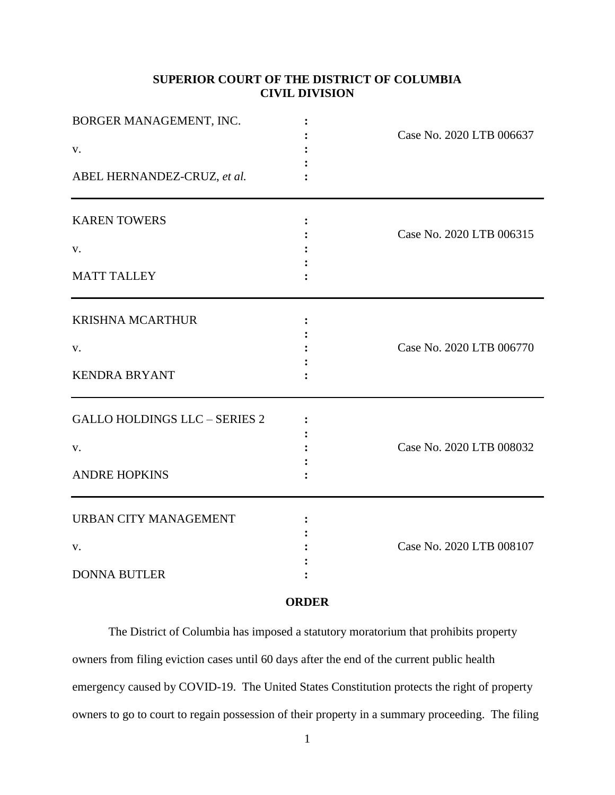# **SUPERIOR COURT OF THE DISTRICT OF COLUMBIA CIVIL DIVISION**

| BORGER MANAGEMENT, INC.<br>V.<br>ABEL HERNANDEZ-CRUZ, et al.       | Case No. 2020 LTB 006637 |
|--------------------------------------------------------------------|--------------------------|
| <b>KAREN TOWERS</b><br>V.<br><b>MATT TALLEY</b>                    | Case No. 2020 LTB 006315 |
| <b>KRISHNA MCARTHUR</b><br>V.<br><b>KENDRA BRYANT</b>              | Case No. 2020 LTB 006770 |
| <b>GALLO HOLDINGS LLC - SERIES 2</b><br>V.<br><b>ANDRE HOPKINS</b> | Case No. 2020 LTB 008032 |
| <b>URBAN CITY MANAGEMENT</b><br>V.<br><b>DONNA BUTLER</b>          | Case No. 2020 LTB 008107 |

# **ORDER**

The District of Columbia has imposed a statutory moratorium that prohibits property owners from filing eviction cases until 60 days after the end of the current public health emergency caused by COVID-19. The United States Constitution protects the right of property owners to go to court to regain possession of their property in a summary proceeding. The filing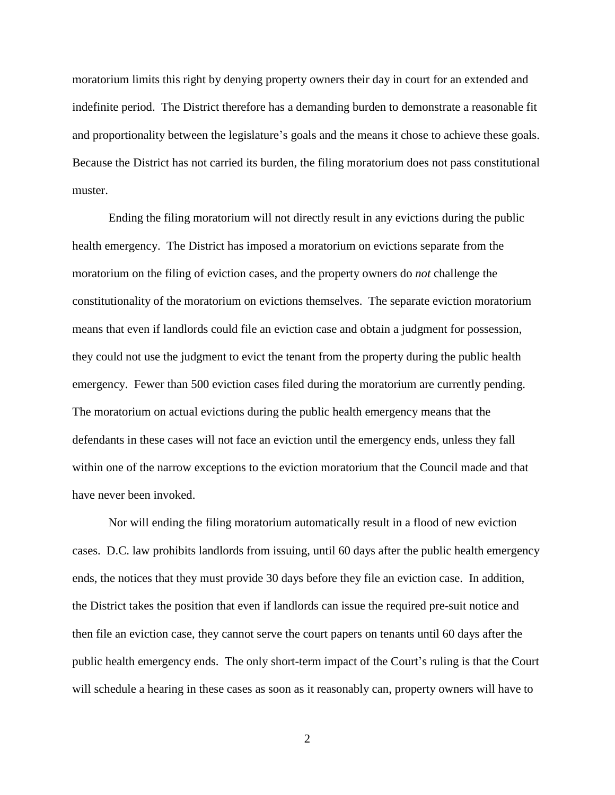moratorium limits this right by denying property owners their day in court for an extended and indefinite period. The District therefore has a demanding burden to demonstrate a reasonable fit and proportionality between the legislature's goals and the means it chose to achieve these goals. Because the District has not carried its burden, the filing moratorium does not pass constitutional muster.

Ending the filing moratorium will not directly result in any evictions during the public health emergency. The District has imposed a moratorium on evictions separate from the moratorium on the filing of eviction cases, and the property owners do *not* challenge the constitutionality of the moratorium on evictions themselves. The separate eviction moratorium means that even if landlords could file an eviction case and obtain a judgment for possession, they could not use the judgment to evict the tenant from the property during the public health emergency. Fewer than 500 eviction cases filed during the moratorium are currently pending. The moratorium on actual evictions during the public health emergency means that the defendants in these cases will not face an eviction until the emergency ends, unless they fall within one of the narrow exceptions to the eviction moratorium that the Council made and that have never been invoked.

Nor will ending the filing moratorium automatically result in a flood of new eviction cases. D.C. law prohibits landlords from issuing, until 60 days after the public health emergency ends, the notices that they must provide 30 days before they file an eviction case. In addition, the District takes the position that even if landlords can issue the required pre-suit notice and then file an eviction case, they cannot serve the court papers on tenants until 60 days after the public health emergency ends. The only short-term impact of the Court's ruling is that the Court will schedule a hearing in these cases as soon as it reasonably can, property owners will have to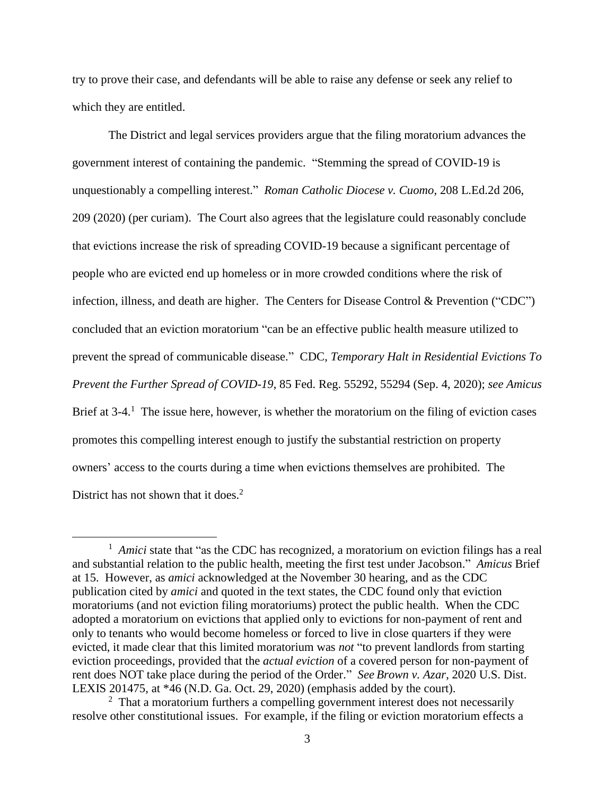try to prove their case, and defendants will be able to raise any defense or seek any relief to which they are entitled.

The District and legal services providers argue that the filing moratorium advances the government interest of containing the pandemic. "Stemming the spread of COVID-19 is unquestionably a compelling interest." *Roman Catholic Diocese v. Cuomo*, 208 L.Ed.2d 206, 209 (2020) (per curiam). The Court also agrees that the legislature could reasonably conclude that evictions increase the risk of spreading COVID-19 because a significant percentage of people who are evicted end up homeless or in more crowded conditions where the risk of infection, illness, and death are higher. The Centers for Disease Control & Prevention ("CDC") concluded that an eviction moratorium "can be an effective public health measure utilized to prevent the spread of communicable disease." CDC, *Temporary Halt in Residential Evictions To Prevent the Further Spread of COVID-19*, 85 Fed. Reg. 55292, 55294 (Sep. 4, 2020); *see Amicus* Brief at 3-4.<sup>1</sup> The issue here, however, is whether the moratorium on the filing of eviction cases promotes this compelling interest enough to justify the substantial restriction on property owners' access to the courts during a time when evictions themselves are prohibited. The District has not shown that it does.<sup>2</sup>

 $\overline{a}$ 

<sup>&</sup>lt;sup>1</sup> Amici state that "as the CDC has recognized, a moratorium on eviction filings has a real and substantial relation to the public health, meeting the first test under Jacobson." *Amicus* Brief at 15. However, as *amici* acknowledged at the November 30 hearing, and as the CDC publication cited by *amici* and quoted in the text states, the CDC found only that eviction moratoriums (and not eviction filing moratoriums) protect the public health. When the CDC adopted a moratorium on evictions that applied only to evictions for non-payment of rent and only to tenants who would become homeless or forced to live in close quarters if they were evicted, it made clear that this limited moratorium was *not* "to prevent landlords from starting eviction proceedings, provided that the *actual eviction* of a covered person for non-payment of rent does NOT take place during the period of the Order." *See Brown v. Azar*, 2020 U.S. Dist. LEXIS 201475, at \*46 (N.D. Ga. Oct. 29, 2020) (emphasis added by the court).

<sup>&</sup>lt;sup>2</sup> That a moratorium furthers a compelling government interest does not necessarily resolve other constitutional issues. For example, if the filing or eviction moratorium effects a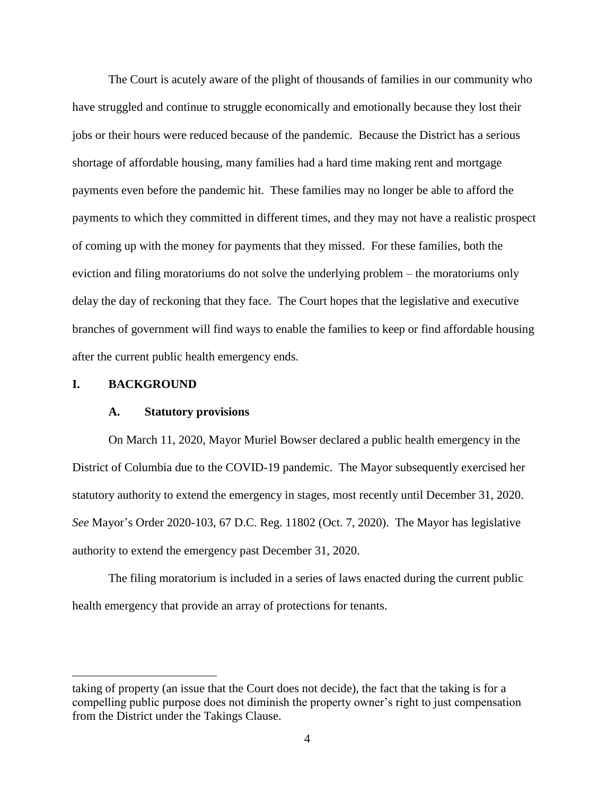The Court is acutely aware of the plight of thousands of families in our community who have struggled and continue to struggle economically and emotionally because they lost their jobs or their hours were reduced because of the pandemic. Because the District has a serious shortage of affordable housing, many families had a hard time making rent and mortgage payments even before the pandemic hit. These families may no longer be able to afford the payments to which they committed in different times, and they may not have a realistic prospect of coming up with the money for payments that they missed. For these families, both the eviction and filing moratoriums do not solve the underlying problem – the moratoriums only delay the day of reckoning that they face. The Court hopes that the legislative and executive branches of government will find ways to enable the families to keep or find affordable housing after the current public health emergency ends.

## **I. BACKGROUND**

 $\overline{a}$ 

## **A. Statutory provisions**

On March 11, 2020, Mayor Muriel Bowser declared a public health emergency in the District of Columbia due to the COVID-19 pandemic. The Mayor subsequently exercised her statutory authority to extend the emergency in stages, most recently until December 31, 2020. *See* Mayor's Order 2020-103, 67 D.C. Reg. 11802 (Oct. 7, 2020). The Mayor has legislative authority to extend the emergency past December 31, 2020.

The filing moratorium is included in a series of laws enacted during the current public health emergency that provide an array of protections for tenants.

taking of property (an issue that the Court does not decide), the fact that the taking is for a compelling public purpose does not diminish the property owner's right to just compensation from the District under the Takings Clause.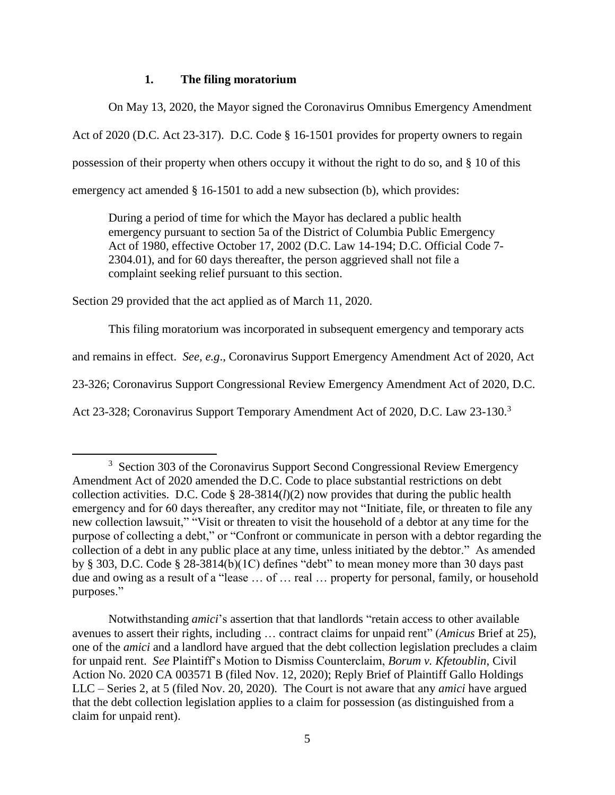# **1. The filing moratorium**

On May 13, 2020, the Mayor signed the Coronavirus Omnibus Emergency Amendment Act of 2020 (D.C. Act 23-317). D.C. Code § 16-1501 provides for property owners to regain possession of their property when others occupy it without the right to do so, and § 10 of this emergency act amended § 16-1501 to add a new subsection (b), which provides:

During a period of time for which the Mayor has declared a public health emergency pursuant to section 5a of the District of Columbia Public Emergency Act of 1980, effective October 17, 2002 (D.C. Law 14-194; D.C. Official Code 7- 2304.01), and for 60 days thereafter, the person aggrieved shall not file a complaint seeking relief pursuant to this section.

Section 29 provided that the act applied as of March 11, 2020.

l

This filing moratorium was incorporated in subsequent emergency and temporary acts

and remains in effect. *See, e.g*., Coronavirus Support Emergency Amendment Act of 2020, Act

23-326; Coronavirus Support Congressional Review Emergency Amendment Act of 2020, D.C.

Act 23-328; Coronavirus Support Temporary Amendment Act of 2020, D.C. Law 23-130.<sup>3</sup>

<sup>&</sup>lt;sup>3</sup> Section 303 of the Coronavirus Support Second Congressional Review Emergency Amendment Act of 2020 amended the D.C. Code to place substantial restrictions on debt collection activities. D.C. Code § 28-3814(*l*)(2) now provides that during the public health emergency and for 60 days thereafter, any creditor may not "Initiate, file, or threaten to file any new collection lawsuit," "Visit or threaten to visit the household of a debtor at any time for the purpose of collecting a debt," or "Confront or communicate in person with a debtor regarding the collection of a debt in any public place at any time, unless initiated by the debtor." As amended by § 303, D.C. Code § 28-3814(b)(1C) defines "debt" to mean money more than 30 days past due and owing as a result of a "lease … of … real … property for personal, family, or household purposes."

Notwithstanding *amici*'s assertion that that landlords "retain access to other available avenues to assert their rights, including … contract claims for unpaid rent" (*Amicus* Brief at 25), one of the *amici* and a landlord have argued that the debt collection legislation precludes a claim for unpaid rent. *See* Plaintiff's Motion to Dismiss Counterclaim, *Borum v. Kfetoublin*, Civil Action No. 2020 CA 003571 B (filed Nov. 12, 2020); Reply Brief of Plaintiff Gallo Holdings LLC – Series 2, at 5 (filed Nov. 20, 2020). The Court is not aware that any *amici* have argued that the debt collection legislation applies to a claim for possession (as distinguished from a claim for unpaid rent).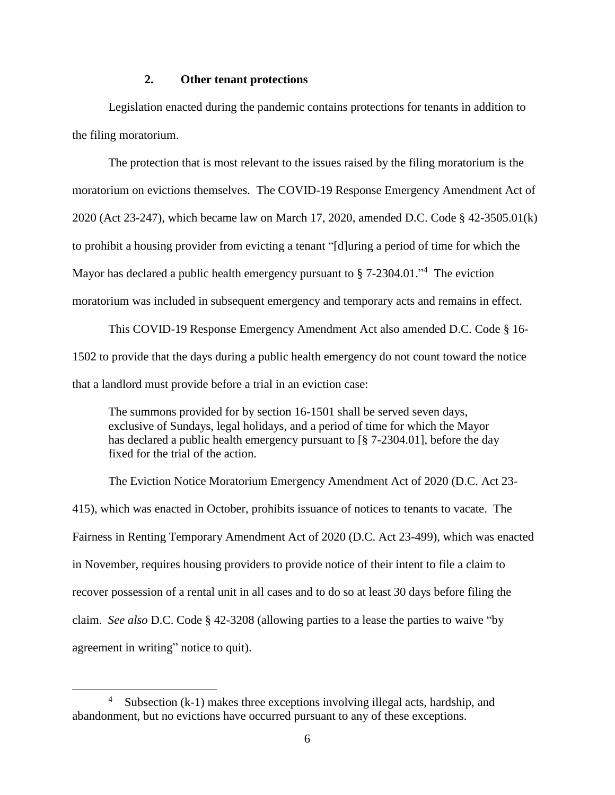# **2. Other tenant protections**

Legislation enacted during the pandemic contains protections for tenants in addition to the filing moratorium.

The protection that is most relevant to the issues raised by the filing moratorium is the moratorium on evictions themselves. The COVID-19 Response Emergency Amendment Act of 2020 (Act 23-247), which became law on March 17, 2020, amended D.C. Code § 42-3505.01(k) to prohibit a housing provider from evicting a tenant "[d]uring a period of time for which the Mayor has declared a public health emergency pursuant to § 7-2304.01.<sup>14</sup> The eviction moratorium was included in subsequent emergency and temporary acts and remains in effect.

This COVID-19 Response Emergency Amendment Act also amended D.C. Code § 16- 1502 to provide that the days during a public health emergency do not count toward the notice that a landlord must provide before a trial in an eviction case:

The summons provided for by section 16-1501 shall be served seven days, exclusive of Sundays, legal holidays, and a period of time for which the Mayor has declared a public health emergency pursuant to [§ 7-2304.01], before the day fixed for the trial of the action.

The Eviction Notice Moratorium Emergency Amendment Act of 2020 (D.C. Act 23- 415), which was enacted in October, prohibits issuance of notices to tenants to vacate. The Fairness in Renting Temporary Amendment Act of 2020 (D.C. Act 23-499), which was enacted in November, requires housing providers to provide notice of their intent to file a claim to recover possession of a rental unit in all cases and to do so at least 30 days before filing the claim. *See also* D.C. Code § 42-3208 (allowing parties to a lease the parties to waive "by agreement in writing" notice to quit).

 $\overline{a}$ 

<sup>4</sup> Subsection (k-1) makes three exceptions involving illegal acts, hardship, and abandonment, but no evictions have occurred pursuant to any of these exceptions.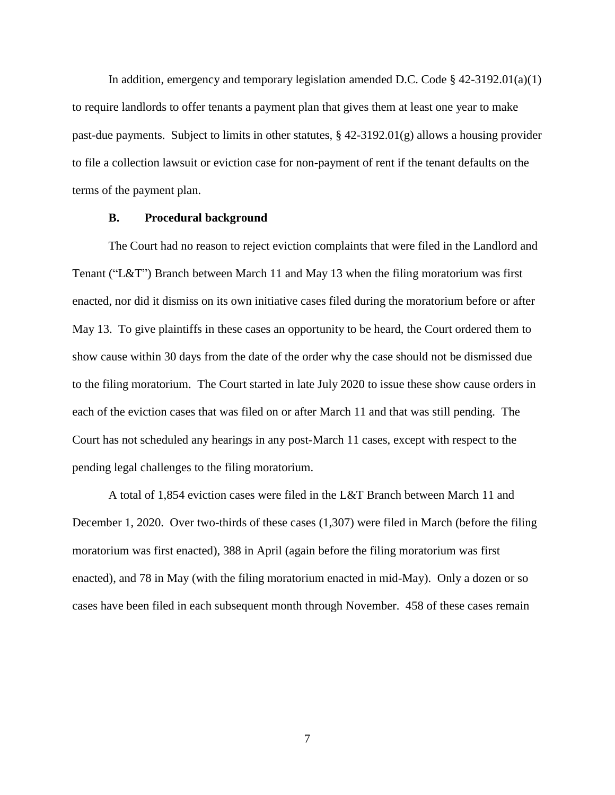In addition, emergency and temporary legislation amended D.C. Code  $\S$  42-3192.01(a)(1) to require landlords to offer tenants a payment plan that gives them at least one year to make past-due payments. Subject to limits in other statutes,  $\S$  42-3192.01(g) allows a housing provider to file a collection lawsuit or eviction case for non-payment of rent if the tenant defaults on the terms of the payment plan.

## **B. Procedural background**

The Court had no reason to reject eviction complaints that were filed in the Landlord and Tenant ("L&T") Branch between March 11 and May 13 when the filing moratorium was first enacted, nor did it dismiss on its own initiative cases filed during the moratorium before or after May 13. To give plaintiffs in these cases an opportunity to be heard, the Court ordered them to show cause within 30 days from the date of the order why the case should not be dismissed due to the filing moratorium. The Court started in late July 2020 to issue these show cause orders in each of the eviction cases that was filed on or after March 11 and that was still pending. The Court has not scheduled any hearings in any post-March 11 cases, except with respect to the pending legal challenges to the filing moratorium.

A total of 1,854 eviction cases were filed in the L&T Branch between March 11 and December 1, 2020. Over two-thirds of these cases (1,307) were filed in March (before the filing moratorium was first enacted), 388 in April (again before the filing moratorium was first enacted), and 78 in May (with the filing moratorium enacted in mid-May). Only a dozen or so cases have been filed in each subsequent month through November. 458 of these cases remain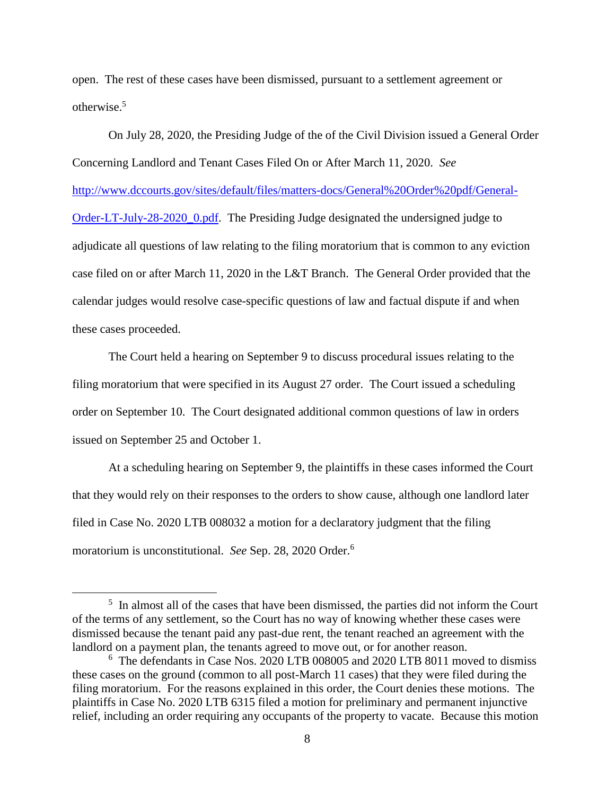open. The rest of these cases have been dismissed, pursuant to a settlement agreement or otherwise. 5

On July 28, 2020, the Presiding Judge of the of the Civil Division issued a General Order Concerning Landlord and Tenant Cases Filed On or After March 11, 2020. *See* [http://www.dccourts.gov/sites/default/files/matters-docs/General%20Order%20pdf/General-](http://www.dccourts.gov/sites/default/files/matters-docs/General%20Order%20pdf/General-Order-LT-July-28-2020_0.pdf)[Order-LT-July-28-2020\\_0.pdf.](http://www.dccourts.gov/sites/default/files/matters-docs/General%20Order%20pdf/General-Order-LT-July-28-2020_0.pdf) The Presiding Judge designated the undersigned judge to adjudicate all questions of law relating to the filing moratorium that is common to any eviction case filed on or after March 11, 2020 in the L&T Branch. The General Order provided that the calendar judges would resolve case-specific questions of law and factual dispute if and when these cases proceeded.

The Court held a hearing on September 9 to discuss procedural issues relating to the filing moratorium that were specified in its August 27 order. The Court issued a scheduling order on September 10. The Court designated additional common questions of law in orders issued on September 25 and October 1.

At a scheduling hearing on September 9, the plaintiffs in these cases informed the Court that they would rely on their responses to the orders to show cause, although one landlord later filed in Case No. 2020 LTB 008032 a motion for a declaratory judgment that the filing moratorium is unconstitutional. *See* Sep. 28, 2020 Order.<sup>6</sup>

l

<sup>&</sup>lt;sup>5</sup> In almost all of the cases that have been dismissed, the parties did not inform the Court of the terms of any settlement, so the Court has no way of knowing whether these cases were dismissed because the tenant paid any past-due rent, the tenant reached an agreement with the landlord on a payment plan, the tenants agreed to move out, or for another reason.

<sup>6</sup> The defendants in Case Nos. 2020 LTB 008005 and 2020 LTB 8011 moved to dismiss these cases on the ground (common to all post-March 11 cases) that they were filed during the filing moratorium. For the reasons explained in this order, the Court denies these motions. The plaintiffs in Case No. 2020 LTB 6315 filed a motion for preliminary and permanent injunctive relief, including an order requiring any occupants of the property to vacate. Because this motion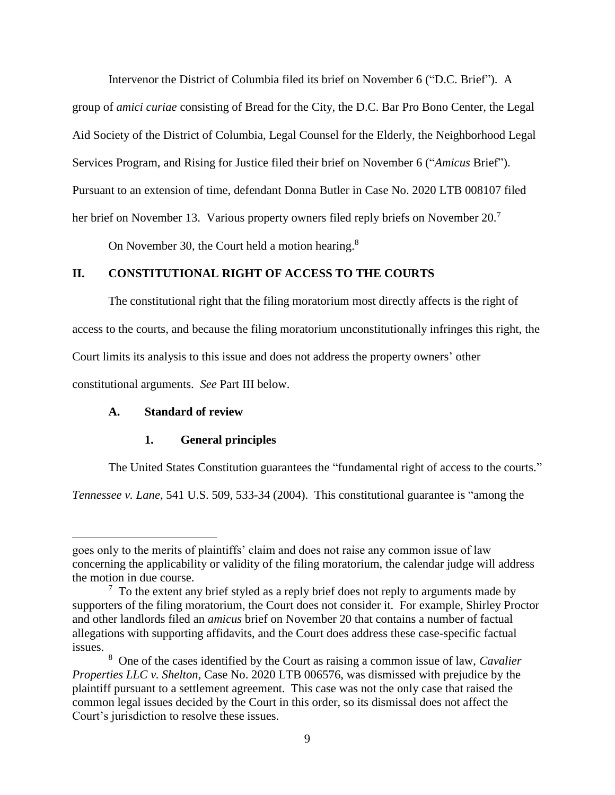Intervenor the District of Columbia filed its brief on November 6 ("D.C. Brief"). A

group of *amici curiae* consisting of Bread for the City, the D.C. Bar Pro Bono Center, the Legal Aid Society of the District of Columbia, Legal Counsel for the Elderly, the Neighborhood Legal Services Program, and Rising for Justice filed their brief on November 6 ("*Amicus* Brief"). Pursuant to an extension of time, defendant Donna Butler in Case No. 2020 LTB 008107 filed her brief on November 13. Various property owners filed reply briefs on November 20.<sup>7</sup>

On November 30, the Court held a motion hearing.<sup>8</sup>

# **II. CONSTITUTIONAL RIGHT OF ACCESS TO THE COURTS**

The constitutional right that the filing moratorium most directly affects is the right of access to the courts, and because the filing moratorium unconstitutionally infringes this right, the Court limits its analysis to this issue and does not address the property owners' other constitutional arguments. *See* Part III below.

# **A. Standard of review**

 $\overline{a}$ 

# **1. General principles**

The United States Constitution guarantees the "fundamental right of access to the courts."

*Tennessee v. Lane*, 541 U.S. 509, 533-34 (2004). This constitutional guarantee is "among the

goes only to the merits of plaintiffs' claim and does not raise any common issue of law concerning the applicability or validity of the filing moratorium, the calendar judge will address the motion in due course.

 $7$  To the extent any brief styled as a reply brief does not reply to arguments made by supporters of the filing moratorium, the Court does not consider it. For example, Shirley Proctor and other landlords filed an *amicus* brief on November 20 that contains a number of factual allegations with supporting affidavits, and the Court does address these case-specific factual issues.

<sup>8</sup> One of the cases identified by the Court as raising a common issue of law, *Cavalier Properties LLC v. Shelton*, Case No. 2020 LTB 006576, was dismissed with prejudice by the plaintiff pursuant to a settlement agreement. This case was not the only case that raised the common legal issues decided by the Court in this order, so its dismissal does not affect the Court's jurisdiction to resolve these issues.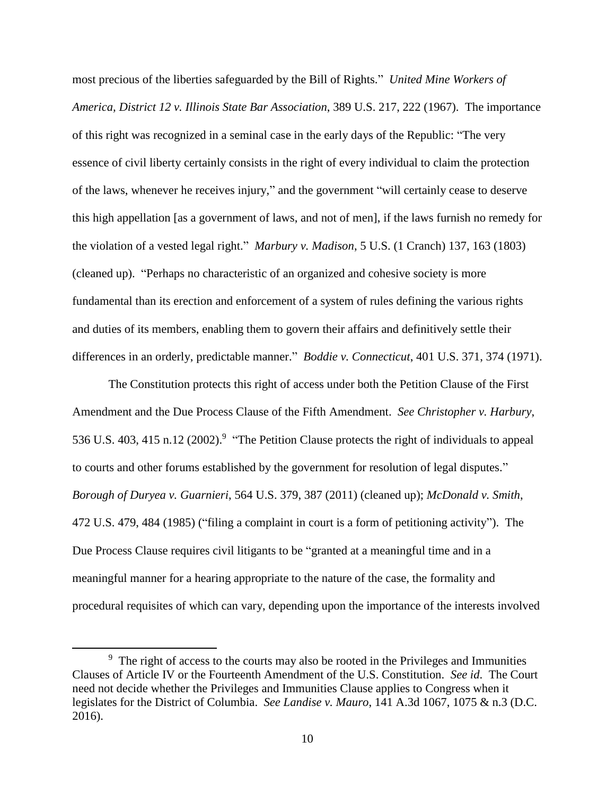most precious of the liberties safeguarded by the Bill of Rights." *United Mine Workers of America, District 12 v. Illinois State Bar Association*, 389 U.S. 217, 222 (1967). The importance of this right was recognized in a seminal case in the early days of the Republic: "The very essence of civil liberty certainly consists in the right of every individual to claim the protection of the laws, whenever he receives injury," and the government "will certainly cease to deserve this high appellation [as a government of laws, and not of men], if the laws furnish no remedy for the violation of a vested legal right." *Marbury v. Madison*, 5 U.S. (1 Cranch) 137, 163 (1803) (cleaned up). "Perhaps no characteristic of an organized and cohesive society is more fundamental than its erection and enforcement of a system of rules defining the various rights and duties of its members, enabling them to govern their affairs and definitively settle their differences in an orderly, predictable manner." *Boddie v. Connecticut*, 401 U.S. 371, 374 (1971).

The Constitution protects this right of access under both the Petition Clause of the First Amendment and the Due Process Clause of the Fifth Amendment. *See Christopher v. Harbury*, 536 U.S. 403, 415 n.12 (2002).<sup>9</sup> "The Petition Clause protects the right of individuals to appeal to courts and other forums established by the government for resolution of legal disputes." *Borough of Duryea v. Guarnieri*, 564 U.S. 379, 387 (2011) (cleaned up); *McDonald v. Smith*, 472 U.S. 479, 484 (1985) ("filing a complaint in court is a form of petitioning activity"). The Due Process Clause requires civil litigants to be "granted at a meaningful time and in a meaningful manner for a hearing appropriate to the nature of the case, the formality and procedural requisites of which can vary, depending upon the importance of the interests involved

 $\overline{\phantom{a}}$ 

<sup>&</sup>lt;sup>9</sup> The right of access to the courts may also be rooted in the Privileges and Immunities Clauses of Article IV or the Fourteenth Amendment of the U.S. Constitution. *See id*. The Court need not decide whether the Privileges and Immunities Clause applies to Congress when it legislates for the District of Columbia. *See Landise v. Mauro*, 141 A.3d 1067, 1075 & n.3 (D.C. 2016).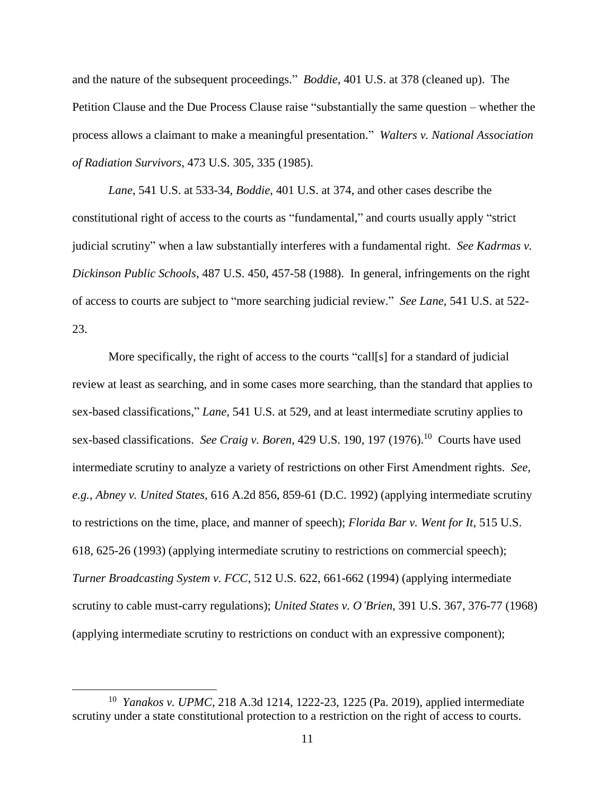and the nature of the subsequent proceedings." *Boddie*, 401 U.S. at 378 (cleaned up). The Petition Clause and the Due Process Clause raise "substantially the same question – whether the process allows a claimant to make a meaningful presentation." *Walters v. National Association of Radiation Survivors*, 473 U.S. 305, 335 (1985).

*Lane*, 541 U.S. at 533-34, *Boddie*, 401 U.S. at 374, and other cases describe the constitutional right of access to the courts as "fundamental," and courts usually apply "strict judicial scrutiny" when a law substantially interferes with a fundamental right. *See Kadrmas v. Dickinson Public Schools*, 487 U.S. 450, 457-58 (1988). In general, infringements on the right of access to courts are subject to "more searching judicial review." *See Lane*, 541 U.S. at 522- 23.

More specifically, the right of access to the courts "call[s] for a standard of judicial review at least as searching, and in some cases more searching, than the standard that applies to sex-based classifications," *Lane*, 541 U.S. at 529, and at least intermediate scrutiny applies to sex-based classifications. *See Craig v. Boren*, 429 U.S. 190, 197 (1976).<sup>10</sup> Courts have used intermediate scrutiny to analyze a variety of restrictions on other First Amendment rights. *See, e.g.*, *Abney v. United States*, 616 A.2d 856, 859-61 (D.C. 1992) (applying intermediate scrutiny to restrictions on the time, place, and manner of speech); *Florida Bar v. Went for It*, 515 U.S. 618, 625-26 (1993) (applying intermediate scrutiny to restrictions on commercial speech); *Turner Broadcasting System v. FCC*, 512 U.S. 622, 661-662 (1994) (applying intermediate scrutiny to cable must-carry regulations); *United States v. O'Brien*, 391 U.S. 367, 376-77 (1968) (applying intermediate scrutiny to restrictions on conduct with an expressive component);

 $\overline{a}$ 

<sup>10</sup> *Yanakos v. UPMC*, 218 A.3d 1214, 1222-23, 1225 (Pa. 2019), applied intermediate scrutiny under a state constitutional protection to a restriction on the right of access to courts.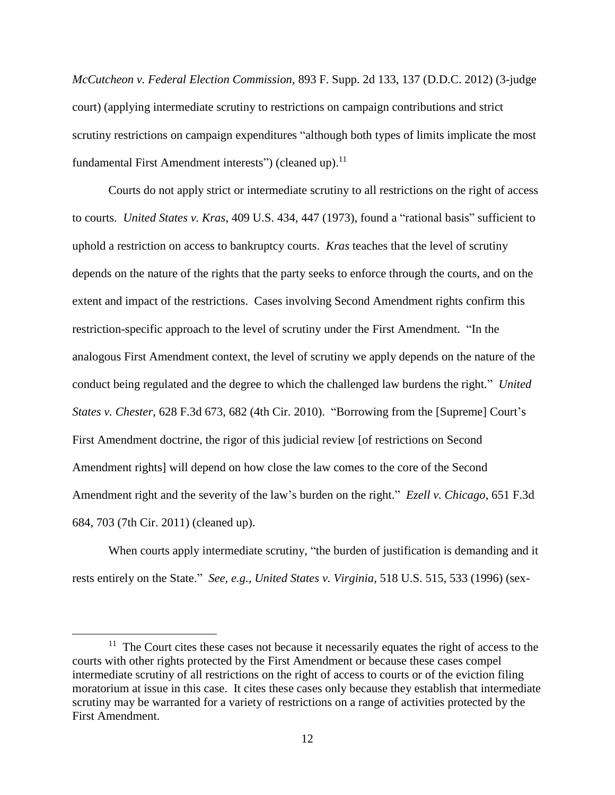*McCutcheon v. Federal Election Commission*, 893 F. Supp. 2d 133, 137 (D.D.C. 2012) (3-judge court) (applying intermediate scrutiny to restrictions on campaign contributions and strict scrutiny restrictions on campaign expenditures "although both types of limits implicate the most fundamental First Amendment interests") (cleaned up).<sup>11</sup>

Courts do not apply strict or intermediate scrutiny to all restrictions on the right of access to courts. *United States v. Kras*, 409 U.S. 434, 447 (1973), found a "rational basis" sufficient to uphold a restriction on access to bankruptcy courts. *Kras* teaches that the level of scrutiny depends on the nature of the rights that the party seeks to enforce through the courts, and on the extent and impact of the restrictions. Cases involving Second Amendment rights confirm this restriction-specific approach to the level of scrutiny under the First Amendment. "In the analogous First Amendment context, the level of scrutiny we apply depends on the nature of the conduct being regulated and the degree to which the challenged law burdens the right." *United States v. Chester*, 628 F.3d 673, 682 (4th Cir. 2010). "Borrowing from the [Supreme] Court's First Amendment doctrine, the rigor of this judicial review [of restrictions on Second Amendment rights] will depend on how close the law comes to the core of the Second Amendment right and the severity of the law's burden on the right." *Ezell v. Chicago*, 651 F.3d 684, 703 (7th Cir. 2011) (cleaned up).

When courts apply intermediate scrutiny, "the burden of justification is demanding and it rests entirely on the State." *See, e.g., United States v. Virginia*, 518 U.S. 515, 533 (1996) (sex-

 $\overline{\phantom{a}}$ 

<sup>&</sup>lt;sup>11</sup> The Court cites these cases not because it necessarily equates the right of access to the courts with other rights protected by the First Amendment or because these cases compel intermediate scrutiny of all restrictions on the right of access to courts or of the eviction filing moratorium at issue in this case. It cites these cases only because they establish that intermediate scrutiny may be warranted for a variety of restrictions on a range of activities protected by the First Amendment.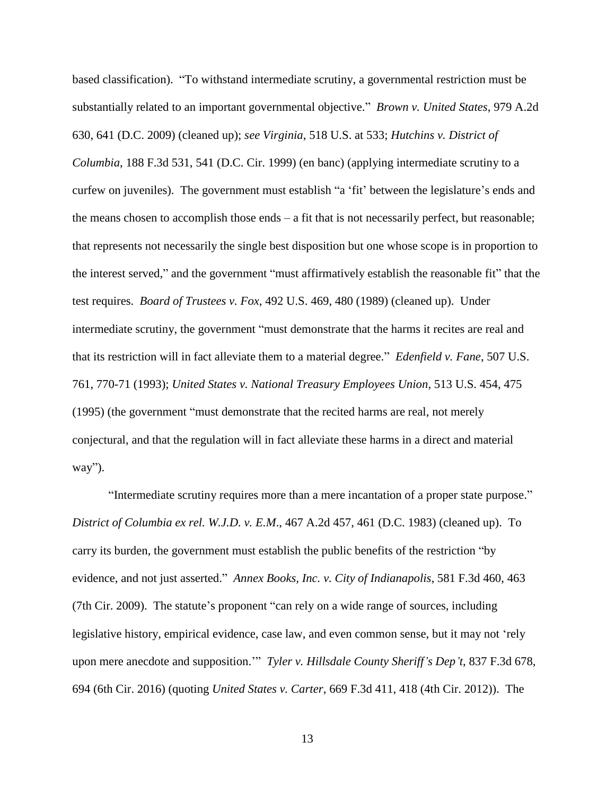based classification). "To withstand intermediate scrutiny, a governmental restriction must be substantially related to an important governmental objective." *Brown v. United States*, 979 A.2d 630, 641 (D.C. 2009) (cleaned up); *see Virginia*, 518 U.S. at 533; *Hutchins v. District of Columbia*, 188 F.3d 531, 541 (D.C. Cir. 1999) (en banc) (applying intermediate scrutiny to a curfew on juveniles). The government must establish "a 'fit' between the legislature's ends and the means chosen to accomplish those ends – a fit that is not necessarily perfect, but reasonable; that represents not necessarily the single best disposition but one whose scope is in proportion to the interest served," and the government "must affirmatively establish the reasonable fit" that the test requires. *Board of Trustees v. Fox*, 492 U.S. 469, 480 (1989) (cleaned up). Under intermediate scrutiny, the government "must demonstrate that the harms it recites are real and that its restriction will in fact alleviate them to a material degree." *Edenfield v. Fane*, 507 U.S. 761, 770-71 (1993); *United States v. National Treasury Employees Union*, 513 U.S. 454, 475 (1995) (the government "must demonstrate that the recited harms are real, not merely conjectural, and that the regulation will in fact alleviate these harms in a direct and material way").

"Intermediate scrutiny requires more than a mere incantation of a proper state purpose." *District of Columbia ex rel. W.J.D. v. E.M*., 467 A.2d 457, 461 (D.C. 1983) (cleaned up). To carry its burden, the government must establish the public benefits of the restriction "by evidence, and not just asserted." *Annex Books, Inc. v. City of Indianapolis*, 581 F.3d 460, 463 (7th Cir. 2009). The statute's proponent "can rely on a wide range of sources, including legislative history, empirical evidence, case law, and even common sense, but it may not 'rely upon mere anecdote and supposition.'" *Tyler v. Hillsdale County Sheriff's Dep't*, 837 F.3d 678, 694 (6th Cir. 2016) (quoting *United States v. Carter*, 669 F.3d 411, 418 (4th Cir. 2012)). The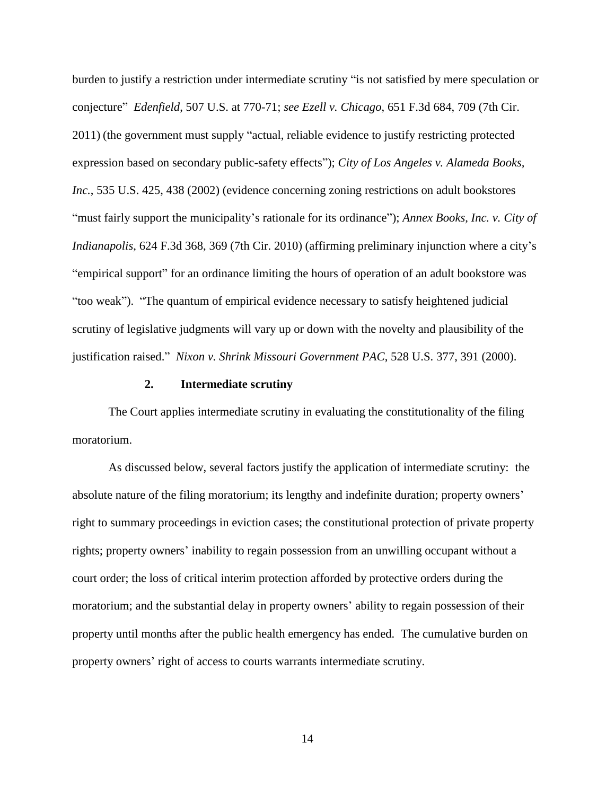burden to justify a restriction under intermediate scrutiny "is not satisfied by mere speculation or conjecture" *Edenfield*, 507 U.S. at 770-71; *see Ezell v. Chicago*, 651 F.3d 684, 709 (7th Cir. 2011) (the government must supply "actual, reliable evidence to justify restricting protected expression based on secondary public-safety effects"); *City of Los Angeles v. Alameda Books, Inc.*, 535 U.S. 425, 438 (2002) (evidence concerning zoning restrictions on adult bookstores "must fairly support the municipality's rationale for its ordinance"); *Annex Books, Inc. v. City of Indianapolis*, 624 F.3d 368, 369 (7th Cir. 2010) (affirming preliminary injunction where a city's "empirical support" for an ordinance limiting the hours of operation of an adult bookstore was "too weak"). "The quantum of empirical evidence necessary to satisfy heightened judicial scrutiny of legislative judgments will vary up or down with the novelty and plausibility of the justification raised." *Nixon v. Shrink Missouri Government PAC*, 528 U.S. 377, 391 (2000).

### **2. Intermediate scrutiny**

The Court applies intermediate scrutiny in evaluating the constitutionality of the filing moratorium.

As discussed below, several factors justify the application of intermediate scrutiny: the absolute nature of the filing moratorium; its lengthy and indefinite duration; property owners' right to summary proceedings in eviction cases; the constitutional protection of private property rights; property owners' inability to regain possession from an unwilling occupant without a court order; the loss of critical interim protection afforded by protective orders during the moratorium; and the substantial delay in property owners' ability to regain possession of their property until months after the public health emergency has ended. The cumulative burden on property owners' right of access to courts warrants intermediate scrutiny.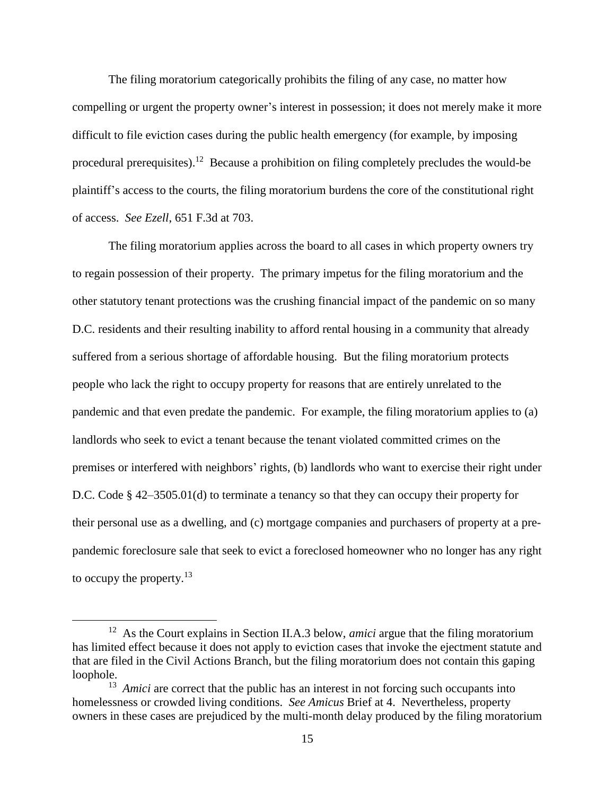The filing moratorium categorically prohibits the filing of any case, no matter how compelling or urgent the property owner's interest in possession; it does not merely make it more difficult to file eviction cases during the public health emergency (for example, by imposing procedural prerequisites).<sup>12</sup> Because a prohibition on filing completely precludes the would-be plaintiff's access to the courts, the filing moratorium burdens the core of the constitutional right of access. *See Ezell*, 651 F.3d at 703.

The filing moratorium applies across the board to all cases in which property owners try to regain possession of their property. The primary impetus for the filing moratorium and the other statutory tenant protections was the crushing financial impact of the pandemic on so many D.C. residents and their resulting inability to afford rental housing in a community that already suffered from a serious shortage of affordable housing. But the filing moratorium protects people who lack the right to occupy property for reasons that are entirely unrelated to the pandemic and that even predate the pandemic. For example, the filing moratorium applies to (a) landlords who seek to evict a tenant because the tenant violated committed crimes on the premises or interfered with neighbors' rights, (b) landlords who want to exercise their right under D.C. Code § 42–3505.01(d) to terminate a tenancy so that they can occupy their property for their personal use as a dwelling, and (c) mortgage companies and purchasers of property at a prepandemic foreclosure sale that seek to evict a foreclosed homeowner who no longer has any right to occupy the property.<sup>13</sup>

 $\overline{a}$ 

<sup>&</sup>lt;sup>12</sup> As the Court explains in Section II.A.3 below, *amici* argue that the filing moratorium has limited effect because it does not apply to eviction cases that invoke the ejectment statute and that are filed in the Civil Actions Branch, but the filing moratorium does not contain this gaping loophole.

<sup>&</sup>lt;sup>13</sup> *Amici* are correct that the public has an interest in not forcing such occupants into homelessness or crowded living conditions. *See Amicus* Brief at 4. Nevertheless, property owners in these cases are prejudiced by the multi-month delay produced by the filing moratorium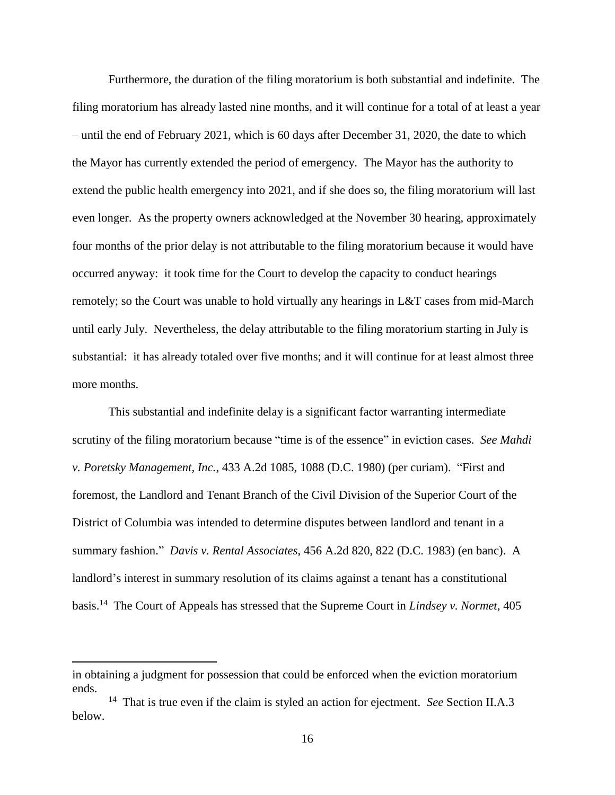Furthermore, the duration of the filing moratorium is both substantial and indefinite. The filing moratorium has already lasted nine months, and it will continue for a total of at least a year – until the end of February 2021, which is 60 days after December 31, 2020, the date to which the Mayor has currently extended the period of emergency. The Mayor has the authority to extend the public health emergency into 2021, and if she does so, the filing moratorium will last even longer. As the property owners acknowledged at the November 30 hearing, approximately four months of the prior delay is not attributable to the filing moratorium because it would have occurred anyway: it took time for the Court to develop the capacity to conduct hearings remotely; so the Court was unable to hold virtually any hearings in L&T cases from mid-March until early July. Nevertheless, the delay attributable to the filing moratorium starting in July is substantial: it has already totaled over five months; and it will continue for at least almost three more months.

This substantial and indefinite delay is a significant factor warranting intermediate scrutiny of the filing moratorium because "time is of the essence" in eviction cases. *See Mahdi v. Poretsky Management, Inc.*, 433 A.2d 1085, 1088 (D.C. 1980) (per curiam). "First and foremost, the Landlord and Tenant Branch of the Civil Division of the Superior Court of the District of Columbia was intended to determine disputes between landlord and tenant in a summary fashion." *Davis v. Rental Associates*, 456 A.2d 820, 822 (D.C. 1983) (en banc). A landlord's interest in summary resolution of its claims against a tenant has a constitutional basis.<sup>14</sup> The Court of Appeals has stressed that the Supreme Court in *Lindsey v. Normet*, 405

l

in obtaining a judgment for possession that could be enforced when the eviction moratorium ends.

<sup>&</sup>lt;sup>14</sup> That is true even if the claim is styled an action for ejectment. *See* Section II.A.3 below.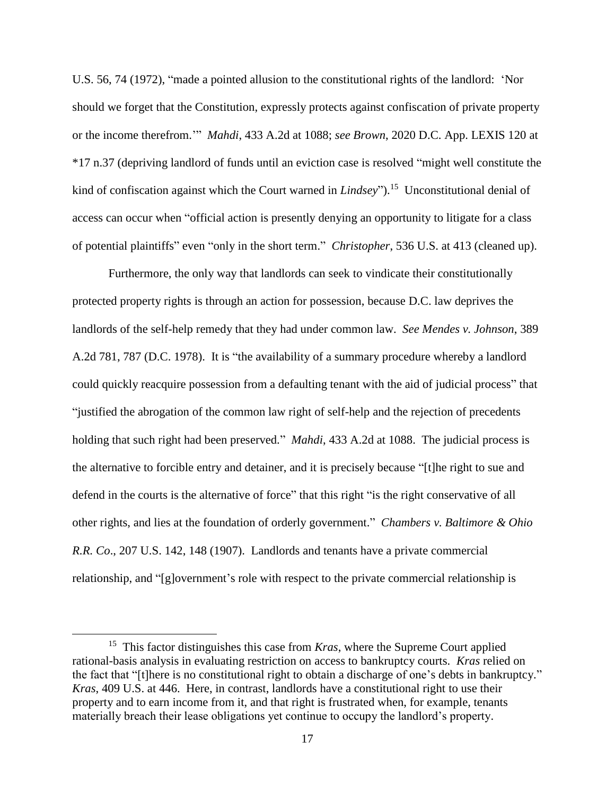U.S. 56, 74 (1972), "made a pointed allusion to the constitutional rights of the landlord: 'Nor should we forget that the Constitution, expressly protects against confiscation of private property or the income therefrom.'" *Mahdi*, 433 A.2d at 1088; *see Brown*, 2020 D.C. App. LEXIS 120 at \*17 n.37 (depriving landlord of funds until an eviction case is resolved "might well constitute the kind of confiscation against which the Court warned in *Lindsey*").<sup>15</sup> Unconstitutional denial of access can occur when "official action is presently denying an opportunity to litigate for a class of potential plaintiffs" even "only in the short term." *Christopher*, 536 U.S. at 413 (cleaned up).

Furthermore, the only way that landlords can seek to vindicate their constitutionally protected property rights is through an action for possession, because D.C. law deprives the landlords of the self-help remedy that they had under common law. *See Mendes v. Johnson*, 389 A.2d 781, 787 (D.C. 1978). It is "the availability of a summary procedure whereby a landlord could quickly reacquire possession from a defaulting tenant with the aid of judicial process" that "justified the abrogation of the common law right of self-help and the rejection of precedents holding that such right had been preserved." *Mahdi*, 433 A.2d at 1088. The judicial process is the alternative to forcible entry and detainer, and it is precisely because "[t]he right to sue and defend in the courts is the alternative of force" that this right "is the right conservative of all other rights, and lies at the foundation of orderly government." *Chambers v. Baltimore & Ohio R.R. Co*., 207 U.S. 142, 148 (1907). Landlords and tenants have a private commercial relationship, and "[g]overnment's role with respect to the private commercial relationship is

 $\overline{\phantom{a}}$ 

<sup>&</sup>lt;sup>15</sup> This factor distinguishes this case from *Kras*, where the Supreme Court applied rational-basis analysis in evaluating restriction on access to bankruptcy courts. *Kras* relied on the fact that "[t]here is no constitutional right to obtain a discharge of one's debts in bankruptcy." *Kras*, 409 U.S. at 446. Here, in contrast, landlords have a constitutional right to use their property and to earn income from it, and that right is frustrated when, for example, tenants materially breach their lease obligations yet continue to occupy the landlord's property.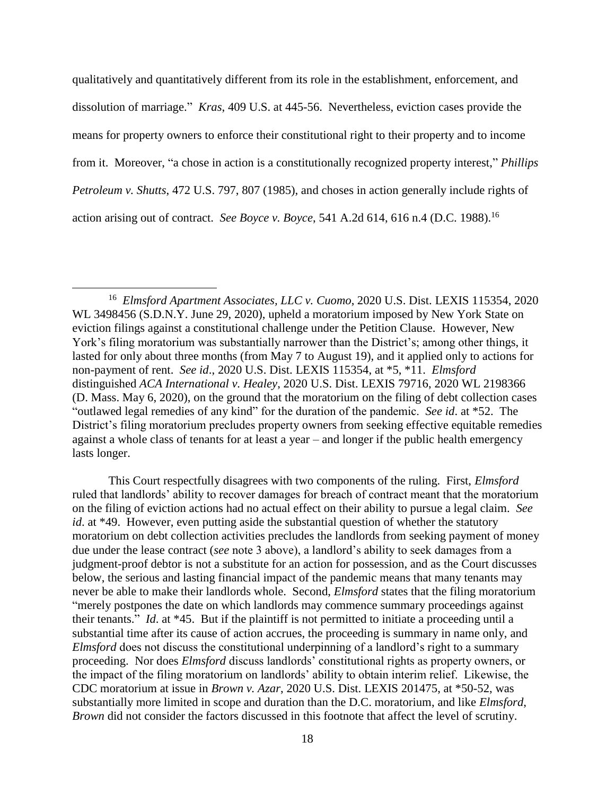qualitatively and quantitatively different from its role in the establishment, enforcement, and dissolution of marriage." *Kras*, 409 U.S. at 445-56. Nevertheless, eviction cases provide the means for property owners to enforce their constitutional right to their property and to income from it. Moreover, "a chose in action is a constitutionally recognized property interest," *Phillips Petroleum v. Shutts*, 472 U.S. 797, 807 (1985), and choses in action generally include rights of action arising out of contract. *See Boyce v. Boyce*, 541 A.2d 614, 616 n.4 (D.C. 1988).<sup>16</sup>

 $\overline{\phantom{a}}$ 

This Court respectfully disagrees with two components of the ruling. First, *Elmsford*  ruled that landlords' ability to recover damages for breach of contract meant that the moratorium on the filing of eviction actions had no actual effect on their ability to pursue a legal claim. *See id*. at \*49. However, even putting aside the substantial question of whether the statutory moratorium on debt collection activities precludes the landlords from seeking payment of money due under the lease contract (*see* note 3 above), a landlord's ability to seek damages from a judgment-proof debtor is not a substitute for an action for possession, and as the Court discusses below, the serious and lasting financial impact of the pandemic means that many tenants may never be able to make their landlords whole. Second, *Elmsford* states that the filing moratorium "merely postpones the date on which landlords may commence summary proceedings against their tenants." *Id*. at \*45. But if the plaintiff is not permitted to initiate a proceeding until a substantial time after its cause of action accrues, the proceeding is summary in name only, and *Elmsford* does not discuss the constitutional underpinning of a landlord's right to a summary proceeding. Nor does *Elmsford* discuss landlords' constitutional rights as property owners, or the impact of the filing moratorium on landlords' ability to obtain interim relief. Likewise, the CDC moratorium at issue in *Brown v. Azar*, 2020 U.S. Dist. LEXIS 201475, at \*50-52, was substantially more limited in scope and duration than the D.C. moratorium, and like *Elmsford*, *Brown* did not consider the factors discussed in this footnote that affect the level of scrutiny.

<sup>16</sup> *Elmsford Apartment Associates, LLC v. Cuomo*, 2020 U.S. Dist. LEXIS 115354, 2020 WL 3498456 (S.D.N.Y. June 29, 2020), upheld a moratorium imposed by New York State on eviction filings against a constitutional challenge under the Petition Clause. However, New York's filing moratorium was substantially narrower than the District's; among other things, it lasted for only about three months (from May 7 to August 19), and it applied only to actions for non-payment of rent. *See id*., 2020 U.S. Dist. LEXIS 115354, at \*5, \*11. *Elmsford* distinguished *ACA International v. Healey*, 2020 U.S. Dist. LEXIS 79716, 2020 WL 2198366 (D. Mass. May 6, 2020), on the ground that the moratorium on the filing of debt collection cases "outlawed legal remedies of any kind" for the duration of the pandemic. *See id*. at \*52. The District's filing moratorium precludes property owners from seeking effective equitable remedies against a whole class of tenants for at least a year – and longer if the public health emergency lasts longer.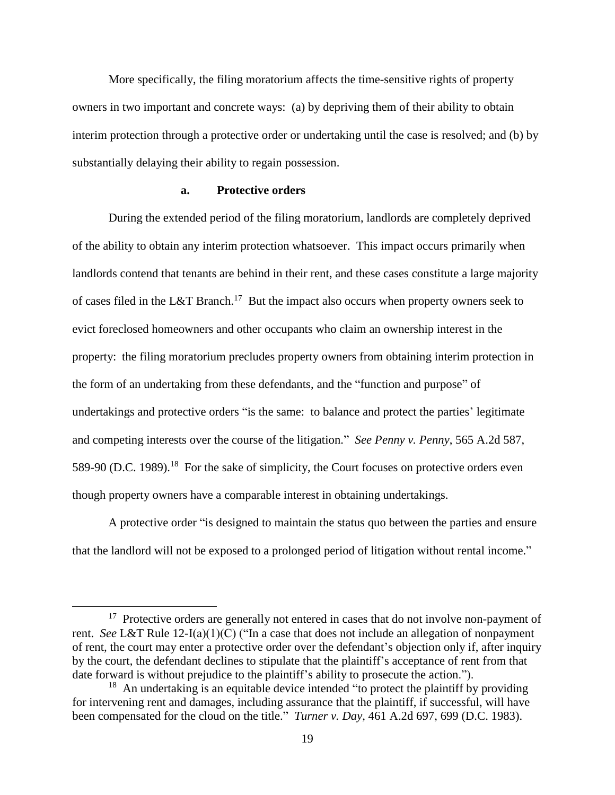More specifically, the filing moratorium affects the time-sensitive rights of property owners in two important and concrete ways: (a) by depriving them of their ability to obtain interim protection through a protective order or undertaking until the case is resolved; and (b) by substantially delaying their ability to regain possession.

## **a. Protective orders**

During the extended period of the filing moratorium, landlords are completely deprived of the ability to obtain any interim protection whatsoever. This impact occurs primarily when landlords contend that tenants are behind in their rent, and these cases constitute a large majority of cases filed in the L&T Branch.<sup>17</sup> But the impact also occurs when property owners seek to evict foreclosed homeowners and other occupants who claim an ownership interest in the property: the filing moratorium precludes property owners from obtaining interim protection in the form of an undertaking from these defendants, and the "function and purpose" of undertakings and protective orders "is the same: to balance and protect the parties' legitimate and competing interests over the course of the litigation." *See Penny v. Penny*, 565 A.2d 587, 589-90 (D.C. 1989).<sup>18</sup> For the sake of simplicity, the Court focuses on protective orders even though property owners have a comparable interest in obtaining undertakings.

A protective order "is designed to maintain the status quo between the parties and ensure that the landlord will not be exposed to a prolonged period of litigation without rental income."

 $\overline{a}$ 

<sup>&</sup>lt;sup>17</sup> Protective orders are generally not entered in cases that do not involve non-payment of rent. *See* L&T Rule 12-I(a)(1)(C) ("In a case that does not include an allegation of nonpayment of rent, the court may enter a protective order over the defendant's objection only if, after inquiry by the court, the defendant declines to stipulate that the plaintiff's acceptance of rent from that date forward is without prejudice to the plaintiff's ability to prosecute the action.").

 $18$  An undertaking is an equitable device intended "to protect the plaintiff by providing for intervening rent and damages, including assurance that the plaintiff, if successful, will have been compensated for the cloud on the title." *Turner v. Day*, 461 A.2d 697, 699 (D.C. 1983).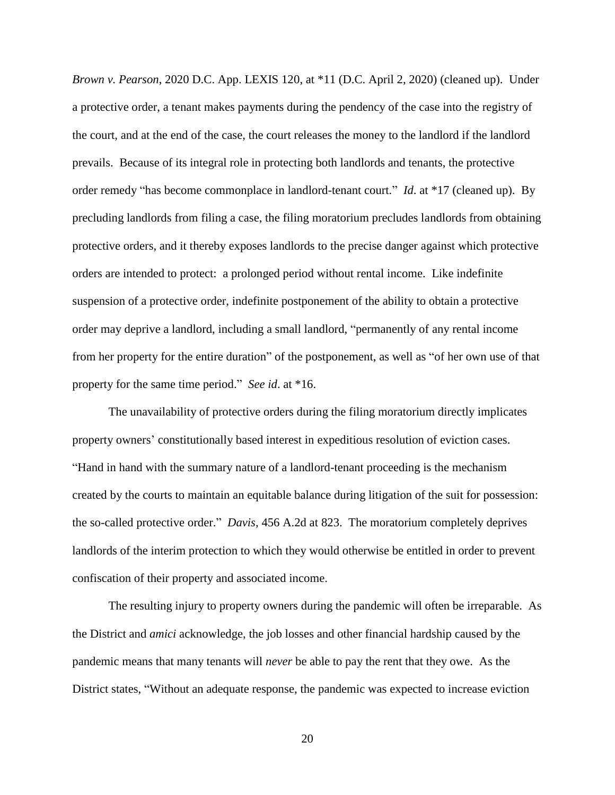*Brown v. Pearson*, 2020 D.C. App. LEXIS 120, at \*11 (D.C. April 2, 2020) (cleaned up). Under a protective order, a tenant makes payments during the pendency of the case into the registry of the court, and at the end of the case, the court releases the money to the landlord if the landlord prevails. Because of its integral role in protecting both landlords and tenants, the protective order remedy "has become commonplace in landlord-tenant court." *Id*. at \*17 (cleaned up). By precluding landlords from filing a case, the filing moratorium precludes landlords from obtaining protective orders, and it thereby exposes landlords to the precise danger against which protective orders are intended to protect: a prolonged period without rental income. Like indefinite suspension of a protective order, indefinite postponement of the ability to obtain a protective order may deprive a landlord, including a small landlord, "permanently of any rental income from her property for the entire duration" of the postponement, as well as "of her own use of that property for the same time period." *See id*. at \*16.

The unavailability of protective orders during the filing moratorium directly implicates property owners' constitutionally based interest in expeditious resolution of eviction cases. "Hand in hand with the summary nature of a landlord-tenant proceeding is the mechanism created by the courts to maintain an equitable balance during litigation of the suit for possession: the so-called protective order." *Davis*, 456 A.2d at 823. The moratorium completely deprives landlords of the interim protection to which they would otherwise be entitled in order to prevent confiscation of their property and associated income.

The resulting injury to property owners during the pandemic will often be irreparable. As the District and *amici* acknowledge, the job losses and other financial hardship caused by the pandemic means that many tenants will *never* be able to pay the rent that they owe. As the District states, "Without an adequate response, the pandemic was expected to increase eviction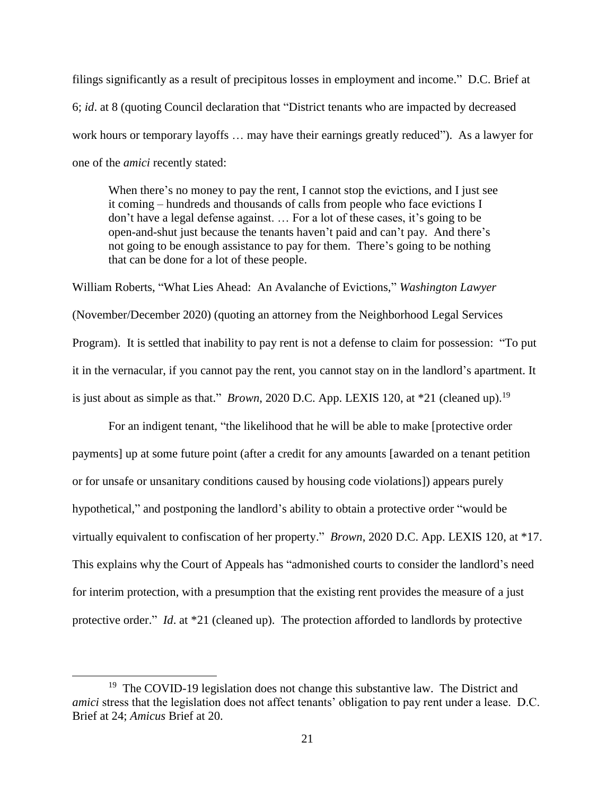filings significantly as a result of precipitous losses in employment and income." D.C. Brief at 6; *id*. at 8 (quoting Council declaration that "District tenants who are impacted by decreased work hours or temporary layoffs … may have their earnings greatly reduced"). As a lawyer for one of the *amici* recently stated:

When there's no money to pay the rent, I cannot stop the evictions, and I just see it coming – hundreds and thousands of calls from people who face evictions I don't have a legal defense against. … For a lot of these cases, it's going to be open-and-shut just because the tenants haven't paid and can't pay. And there's not going to be enough assistance to pay for them. There's going to be nothing that can be done for a lot of these people.

William Roberts, "What Lies Ahead: An Avalanche of Evictions," *Washington Lawyer* (November/December 2020) (quoting an attorney from the Neighborhood Legal Services Program). It is settled that inability to pay rent is not a defense to claim for possession: "To put it in the vernacular, if you cannot pay the rent, you cannot stay on in the landlord's apartment. It is just about as simple as that." *Brown*, 2020 D.C. App. LEXIS 120, at \*21 (cleaned up).<sup>19</sup>

For an indigent tenant, "the likelihood that he will be able to make [protective order payments] up at some future point (after a credit for any amounts [awarded on a tenant petition or for unsafe or unsanitary conditions caused by housing code violations]) appears purely hypothetical," and postponing the landlord's ability to obtain a protective order "would be virtually equivalent to confiscation of her property." *Brown*, 2020 D.C. App. LEXIS 120, at \*17. This explains why the Court of Appeals has "admonished courts to consider the landlord's need for interim protection, with a presumption that the existing rent provides the measure of a just protective order." *Id.* at \*21 (cleaned up). The protection afforded to landlords by protective

 $\overline{a}$ 

<sup>&</sup>lt;sup>19</sup> The COVID-19 legislation does not change this substantive law. The District and *amici* stress that the legislation does not affect tenants' obligation to pay rent under a lease. D.C. Brief at 24; *Amicus* Brief at 20.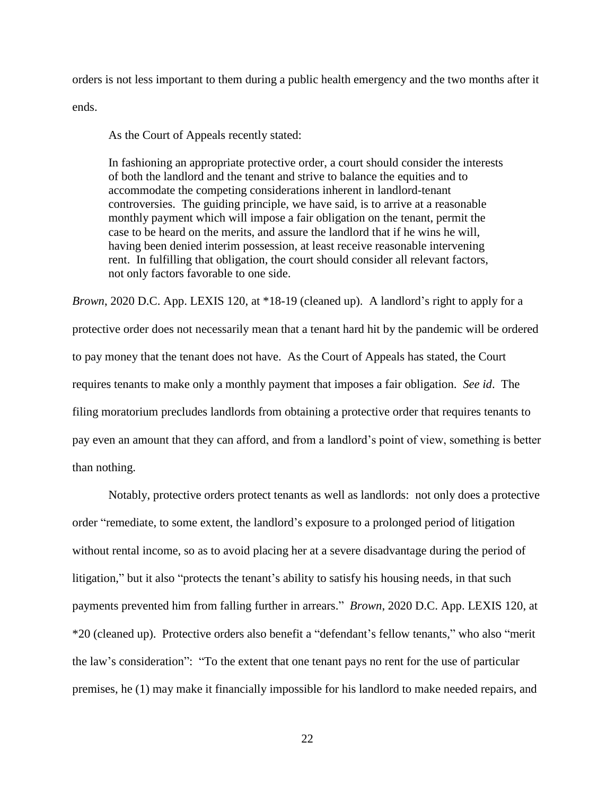orders is not less important to them during a public health emergency and the two months after it ends.

As the Court of Appeals recently stated:

In fashioning an appropriate protective order, a court should consider the interests of both the landlord and the tenant and strive to balance the equities and to accommodate the competing considerations inherent in landlord-tenant controversies. The guiding principle, we have said, is to arrive at a reasonable monthly payment which will impose a fair obligation on the tenant, permit the case to be heard on the merits, and assure the landlord that if he wins he will, having been denied interim possession, at least receive reasonable intervening rent. In fulfilling that obligation, the court should consider all relevant factors, not only factors favorable to one side.

*Brown*, 2020 D.C. App. LEXIS 120, at \*18-19 (cleaned up). A landlord's right to apply for a protective order does not necessarily mean that a tenant hard hit by the pandemic will be ordered to pay money that the tenant does not have. As the Court of Appeals has stated, the Court requires tenants to make only a monthly payment that imposes a fair obligation. *See id*. The filing moratorium precludes landlords from obtaining a protective order that requires tenants to pay even an amount that they can afford, and from a landlord's point of view, something is better than nothing.

Notably, protective orders protect tenants as well as landlords: not only does a protective order "remediate, to some extent, the landlord's exposure to a prolonged period of litigation without rental income, so as to avoid placing her at a severe disadvantage during the period of litigation," but it also "protects the tenant's ability to satisfy his housing needs, in that such payments prevented him from falling further in arrears." *Brown*, 2020 D.C. App. LEXIS 120, at \*20 (cleaned up). Protective orders also benefit a "defendant's fellow tenants," who also "merit the law's consideration": "To the extent that one tenant pays no rent for the use of particular premises, he (1) may make it financially impossible for his landlord to make needed repairs, and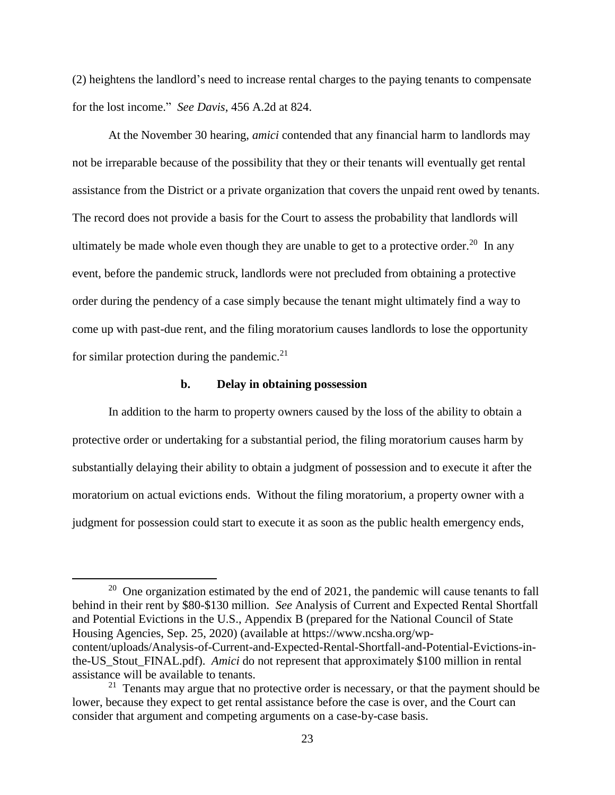(2) heightens the landlord's need to increase rental charges to the paying tenants to compensate for the lost income." *See Davis*, 456 A.2d at 824.

At the November 30 hearing, *amici* contended that any financial harm to landlords may not be irreparable because of the possibility that they or their tenants will eventually get rental assistance from the District or a private organization that covers the unpaid rent owed by tenants. The record does not provide a basis for the Court to assess the probability that landlords will ultimately be made whole even though they are unable to get to a protective order.<sup>20</sup> In any event, before the pandemic struck, landlords were not precluded from obtaining a protective order during the pendency of a case simply because the tenant might ultimately find a way to come up with past-due rent, and the filing moratorium causes landlords to lose the opportunity for similar protection during the pandemic. $21$ 

## **b. Delay in obtaining possession**

 $\overline{\phantom{a}}$ 

In addition to the harm to property owners caused by the loss of the ability to obtain a protective order or undertaking for a substantial period, the filing moratorium causes harm by substantially delaying their ability to obtain a judgment of possession and to execute it after the moratorium on actual evictions ends. Without the filing moratorium, a property owner with a judgment for possession could start to execute it as soon as the public health emergency ends,

<sup>&</sup>lt;sup>20</sup> One organization estimated by the end of 2021, the pandemic will cause tenants to fall behind in their rent by \$80-\$130 million. *See* Analysis of Current and Expected Rental Shortfall and Potential Evictions in the U.S., Appendix B (prepared for the National Council of State Housing Agencies, Sep. 25, 2020) (available at https://www.ncsha.org/wpcontent/uploads/Analysis-of-Current-and-Expected-Rental-Shortfall-and-Potential-Evictions-inthe-US\_Stout\_FINAL.pdf). *Amici* do not represent that approximately \$100 million in rental assistance will be available to tenants.

 $2<sup>1</sup>$  Tenants may argue that no protective order is necessary, or that the payment should be lower, because they expect to get rental assistance before the case is over, and the Court can consider that argument and competing arguments on a case-by-case basis.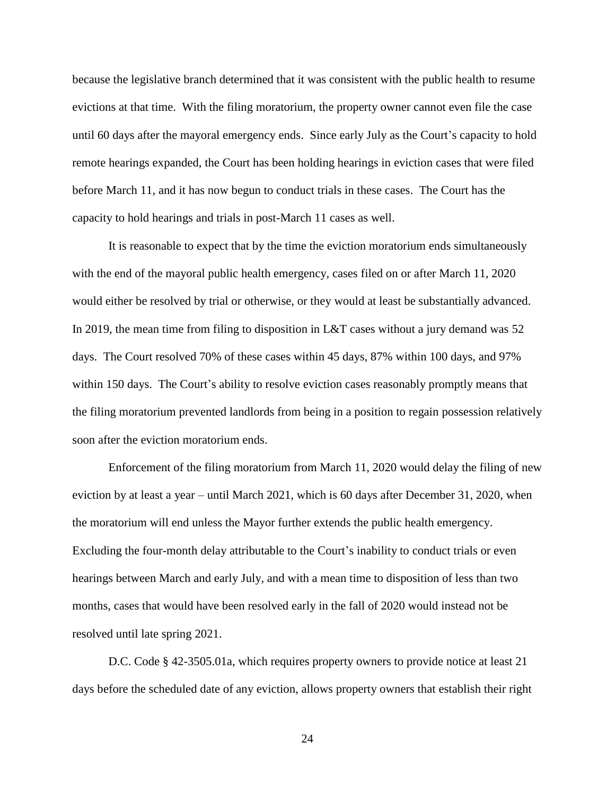because the legislative branch determined that it was consistent with the public health to resume evictions at that time. With the filing moratorium, the property owner cannot even file the case until 60 days after the mayoral emergency ends. Since early July as the Court's capacity to hold remote hearings expanded, the Court has been holding hearings in eviction cases that were filed before March 11, and it has now begun to conduct trials in these cases. The Court has the capacity to hold hearings and trials in post-March 11 cases as well.

It is reasonable to expect that by the time the eviction moratorium ends simultaneously with the end of the mayoral public health emergency, cases filed on or after March 11, 2020 would either be resolved by trial or otherwise, or they would at least be substantially advanced. In 2019, the mean time from filing to disposition in L&T cases without a jury demand was 52 days. The Court resolved 70% of these cases within 45 days, 87% within 100 days, and 97% within 150 days. The Court's ability to resolve eviction cases reasonably promptly means that the filing moratorium prevented landlords from being in a position to regain possession relatively soon after the eviction moratorium ends.

Enforcement of the filing moratorium from March 11, 2020 would delay the filing of new eviction by at least a year – until March 2021, which is 60 days after December 31, 2020, when the moratorium will end unless the Mayor further extends the public health emergency. Excluding the four-month delay attributable to the Court's inability to conduct trials or even hearings between March and early July, and with a mean time to disposition of less than two months, cases that would have been resolved early in the fall of 2020 would instead not be resolved until late spring 2021.

D.C. Code § 42-3505.01a, which requires property owners to provide notice at least 21 days before the scheduled date of any eviction, allows property owners that establish their right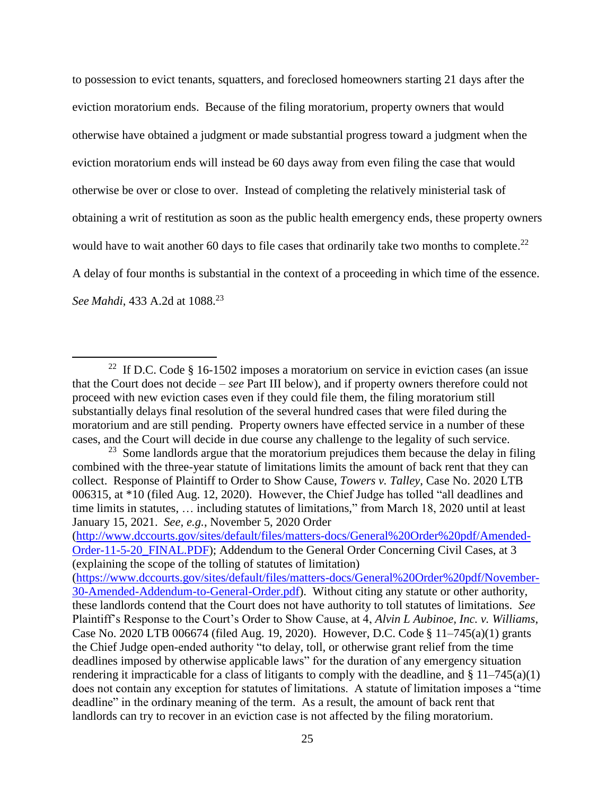to possession to evict tenants, squatters, and foreclosed homeowners starting 21 days after the eviction moratorium ends. Because of the filing moratorium, property owners that would otherwise have obtained a judgment or made substantial progress toward a judgment when the eviction moratorium ends will instead be 60 days away from even filing the case that would otherwise be over or close to over. Instead of completing the relatively ministerial task of obtaining a writ of restitution as soon as the public health emergency ends, these property owners would have to wait another 60 days to file cases that ordinarily take two months to complete. $^{22}$ A delay of four months is substantial in the context of a proceeding in which time of the essence. *See Mahdi*, 433 A.2d at 1088. 23

 $\overline{\phantom{a}}$ 

<sup>&</sup>lt;sup>22</sup> If D.C. Code  $§$  16-1502 imposes a moratorium on service in eviction cases (an issue that the Court does not decide – *see* Part III below), and if property owners therefore could not proceed with new eviction cases even if they could file them, the filing moratorium still substantially delays final resolution of the several hundred cases that were filed during the moratorium and are still pending. Property owners have effected service in a number of these cases, and the Court will decide in due course any challenge to the legality of such service.

 $23$  Some landlords argue that the moratorium prejudices them because the delay in filing combined with the three-year statute of limitations limits the amount of back rent that they can collect. Response of Plaintiff to Order to Show Cause, *Towers v. Talley*, Case No. 2020 LTB 006315, at \*10 (filed Aug. 12, 2020). However, the Chief Judge has tolled "all deadlines and time limits in statutes, … including statutes of limitations," from March 18, 2020 until at least January 15, 2021. *See, e.g.*, November 5, 2020 Order

[<sup>\(</sup>http://www.dccourts.gov/sites/default/files/matters-docs/General%20Order%20pdf/Amended-](http://www.dccourts.gov/sites/default/files/matters-docs/General%20Order%20pdf/Amended-Order-11-5-20_FINAL.PDF)[Order-11-5-20\\_FINAL.PDF\)](http://www.dccourts.gov/sites/default/files/matters-docs/General%20Order%20pdf/Amended-Order-11-5-20_FINAL.PDF); Addendum to the General Order Concerning Civil Cases, at 3 (explaining the scope of the tolling of statutes of limitation)

[<sup>\(</sup>https://www.dccourts.gov/sites/default/files/matters-docs/General%20Order%20pdf/November-](https://www.dccourts.gov/sites/default/files/matters-docs/General%20Order%20pdf/November-30-Amended-Addendum-to-General-Order.pdf)[30-Amended-Addendum-to-General-Order.pdf\)](https://www.dccourts.gov/sites/default/files/matters-docs/General%20Order%20pdf/November-30-Amended-Addendum-to-General-Order.pdf). Without citing any statute or other authority, these landlords contend that the Court does not have authority to toll statutes of limitations. *See* Plaintiff's Response to the Court's Order to Show Cause, at 4, *Alvin L Aubinoe, Inc. v. Williams*, Case No. 2020 LTB 006674 (filed Aug. 19, 2020). However, D.C. Code § 11–745(a)(1) grants the Chief Judge open-ended authority "to delay, toll, or otherwise grant relief from the time deadlines imposed by otherwise applicable laws" for the duration of any emergency situation rendering it impracticable for a class of litigants to comply with the deadline, and  $\S 11-745(a)(1)$ does not contain any exception for statutes of limitations. A statute of limitation imposes a "time deadline" in the ordinary meaning of the term. As a result, the amount of back rent that landlords can try to recover in an eviction case is not affected by the filing moratorium.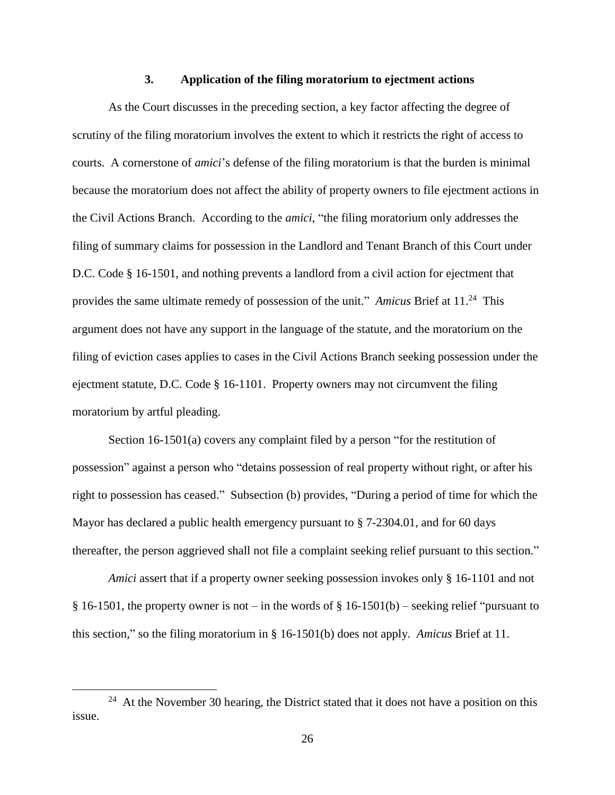#### **3. Application of the filing moratorium to ejectment actions**

As the Court discusses in the preceding section, a key factor affecting the degree of scrutiny of the filing moratorium involves the extent to which it restricts the right of access to courts. A cornerstone of *amici*'s defense of the filing moratorium is that the burden is minimal because the moratorium does not affect the ability of property owners to file ejectment actions in the Civil Actions Branch. According to the *amici*, "the filing moratorium only addresses the filing of summary claims for possession in the Landlord and Tenant Branch of this Court under D.C. Code § 16-1501, and nothing prevents a landlord from a civil action for ejectment that provides the same ultimate remedy of possession of the unit." Amicus Brief at 11.<sup>24</sup> This argument does not have any support in the language of the statute, and the moratorium on the filing of eviction cases applies to cases in the Civil Actions Branch seeking possession under the ejectment statute, D.C. Code § 16-1101. Property owners may not circumvent the filing moratorium by artful pleading.

Section 16-1501(a) covers any complaint filed by a person "for the restitution of possession" against a person who "detains possession of real property without right, or after his right to possession has ceased." Subsection (b) provides, "During a period of time for which the Mayor has declared a public health emergency pursuant to § 7-2304.01, and for 60 days thereafter, the person aggrieved shall not file a complaint seeking relief pursuant to this section."

*Amici* assert that if a property owner seeking possession invokes only § 16-1101 and not § 16-1501, the property owner is not – in the words of § 16-1501(b) – seeking relief "pursuant to this section," so the filing moratorium in § 16-1501(b) does not apply. *Amicus* Brief at 11.

 $\overline{a}$ 

 $24$  At the November 30 hearing, the District stated that it does not have a position on this issue.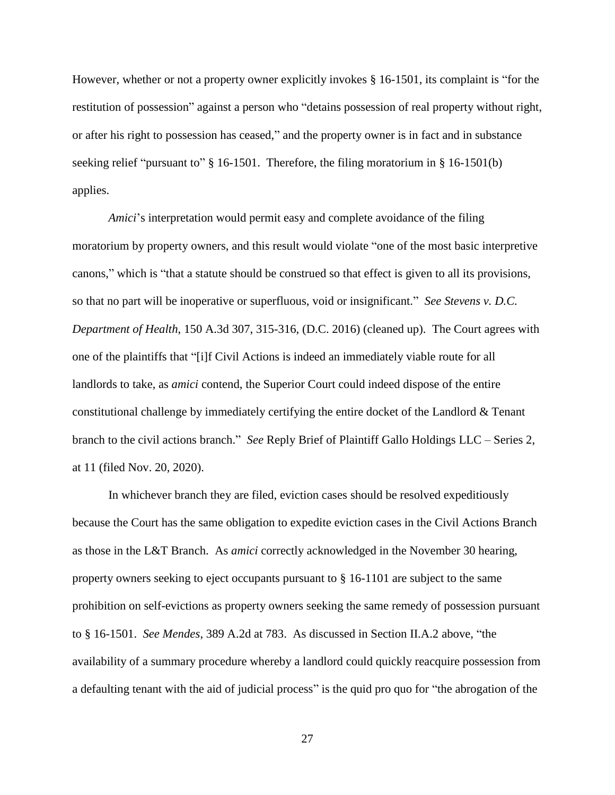However, whether or not a property owner explicitly invokes § 16-1501, its complaint is "for the restitution of possession" against a person who "detains possession of real property without right, or after his right to possession has ceased," and the property owner is in fact and in substance seeking relief "pursuant to" § 16-1501. Therefore, the filing moratorium in § 16-1501(b) applies.

*Amici*'s interpretation would permit easy and complete avoidance of the filing moratorium by property owners, and this result would violate "one of the most basic interpretive canons," which is "that a statute should be construed so that effect is given to all its provisions, so that no part will be inoperative or superfluous, void or insignificant." *See Stevens v. D.C. Department of Health*, 150 A.3d 307, 315-316, (D.C. 2016) (cleaned up). The Court agrees with one of the plaintiffs that "[i]f Civil Actions is indeed an immediately viable route for all landlords to take, as *amici* contend, the Superior Court could indeed dispose of the entire constitutional challenge by immediately certifying the entire docket of the Landlord & Tenant branch to the civil actions branch." *See* Reply Brief of Plaintiff Gallo Holdings LLC – Series 2, at 11 (filed Nov. 20, 2020).

In whichever branch they are filed, eviction cases should be resolved expeditiously because the Court has the same obligation to expedite eviction cases in the Civil Actions Branch as those in the L&T Branch. As *amici* correctly acknowledged in the November 30 hearing, property owners seeking to eject occupants pursuant to § 16-1101 are subject to the same prohibition on self-evictions as property owners seeking the same remedy of possession pursuant to § 16-1501. *See Mendes*, 389 A.2d at 783. As discussed in Section II.A.2 above, "the availability of a summary procedure whereby a landlord could quickly reacquire possession from a defaulting tenant with the aid of judicial process" is the quid pro quo for "the abrogation of the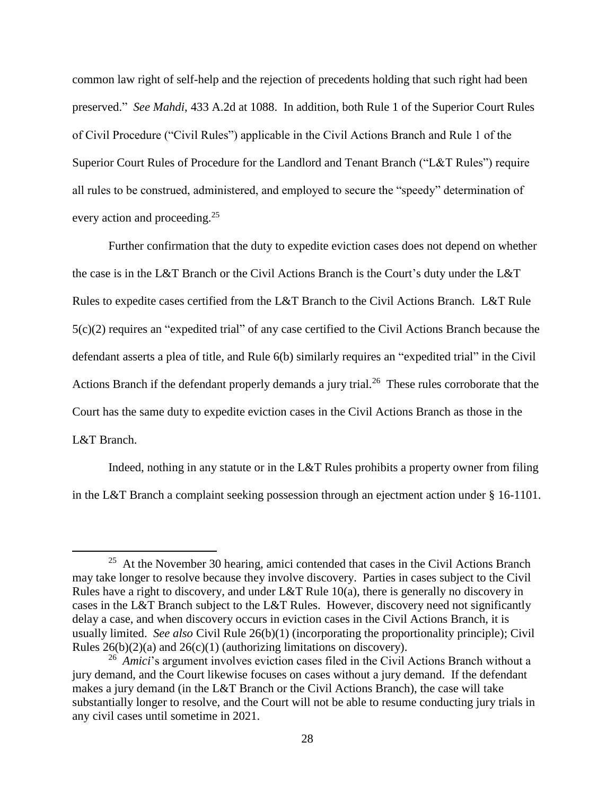common law right of self-help and the rejection of precedents holding that such right had been preserved." *See Mahdi*, 433 A.2d at 1088. In addition, both Rule 1 of the Superior Court Rules of Civil Procedure ("Civil Rules") applicable in the Civil Actions Branch and Rule 1 of the Superior Court Rules of Procedure for the Landlord and Tenant Branch ("L&T Rules") require all rules to be construed, administered, and employed to secure the "speedy" determination of every action and proceeding.<sup>25</sup>

Further confirmation that the duty to expedite eviction cases does not depend on whether the case is in the L&T Branch or the Civil Actions Branch is the Court's duty under the L&T Rules to expedite cases certified from the L&T Branch to the Civil Actions Branch. L&T Rule 5(c)(2) requires an "expedited trial" of any case certified to the Civil Actions Branch because the defendant asserts a plea of title, and Rule 6(b) similarly requires an "expedited trial" in the Civil Actions Branch if the defendant properly demands a jury trial.<sup>26</sup> These rules corroborate that the Court has the same duty to expedite eviction cases in the Civil Actions Branch as those in the L&T Branch.

Indeed, nothing in any statute or in the L&T Rules prohibits a property owner from filing in the L&T Branch a complaint seeking possession through an ejectment action under § 16-1101.

 $\overline{\phantom{a}}$ 

 $25$  At the November 30 hearing, amici contended that cases in the Civil Actions Branch may take longer to resolve because they involve discovery. Parties in cases subject to the Civil Rules have a right to discovery, and under L&T Rule 10(a), there is generally no discovery in cases in the L&T Branch subject to the L&T Rules. However, discovery need not significantly delay a case, and when discovery occurs in eviction cases in the Civil Actions Branch, it is usually limited. *See also* Civil Rule 26(b)(1) (incorporating the proportionality principle); Civil Rules  $26(b)(2)(a)$  and  $26(c)(1)$  (authorizing limitations on discovery).

<sup>&</sup>lt;sup>26</sup> Amici's argument involves eviction cases filed in the Civil Actions Branch without a jury demand, and the Court likewise focuses on cases without a jury demand. If the defendant makes a jury demand (in the L&T Branch or the Civil Actions Branch), the case will take substantially longer to resolve, and the Court will not be able to resume conducting jury trials in any civil cases until sometime in 2021.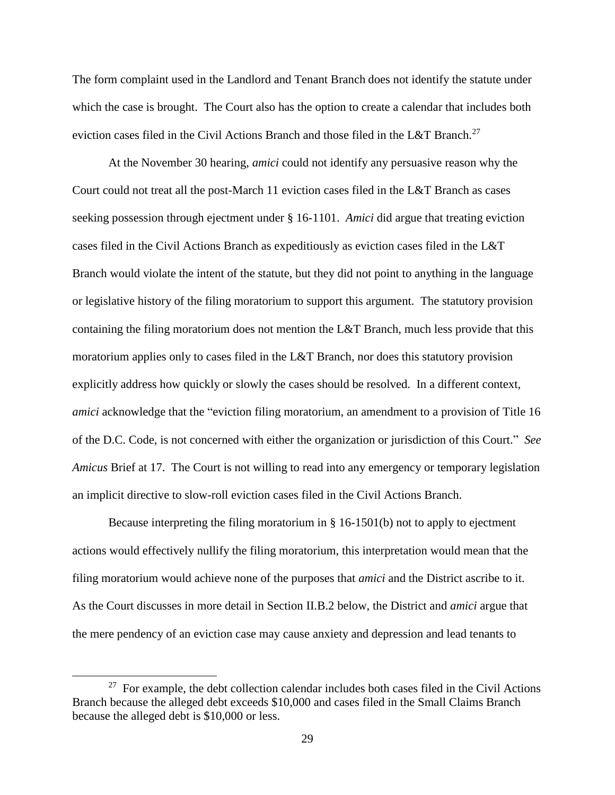The form complaint used in the Landlord and Tenant Branch does not identify the statute under which the case is brought. The Court also has the option to create a calendar that includes both eviction cases filed in the Civil Actions Branch and those filed in the L&T Branch.<sup>27</sup>

At the November 30 hearing, *amici* could not identify any persuasive reason why the Court could not treat all the post-March 11 eviction cases filed in the L&T Branch as cases seeking possession through ejectment under § 16-1101. *Amici* did argue that treating eviction cases filed in the Civil Actions Branch as expeditiously as eviction cases filed in the L&T Branch would violate the intent of the statute, but they did not point to anything in the language or legislative history of the filing moratorium to support this argument. The statutory provision containing the filing moratorium does not mention the L&T Branch, much less provide that this moratorium applies only to cases filed in the L&T Branch, nor does this statutory provision explicitly address how quickly or slowly the cases should be resolved. In a different context, *amici* acknowledge that the "eviction filing moratorium, an amendment to a provision of Title 16 of the D.C. Code, is not concerned with either the organization or jurisdiction of this Court." *See Amicus* Brief at 17. The Court is not willing to read into any emergency or temporary legislation an implicit directive to slow-roll eviction cases filed in the Civil Actions Branch.

Because interpreting the filing moratorium in § 16-1501(b) not to apply to ejectment actions would effectively nullify the filing moratorium, this interpretation would mean that the filing moratorium would achieve none of the purposes that *amici* and the District ascribe to it. As the Court discusses in more detail in Section II.B.2 below, the District and *amici* argue that the mere pendency of an eviction case may cause anxiety and depression and lead tenants to

 $\overline{a}$ 

 $27$  For example, the debt collection calendar includes both cases filed in the Civil Actions Branch because the alleged debt exceeds \$10,000 and cases filed in the Small Claims Branch because the alleged debt is \$10,000 or less.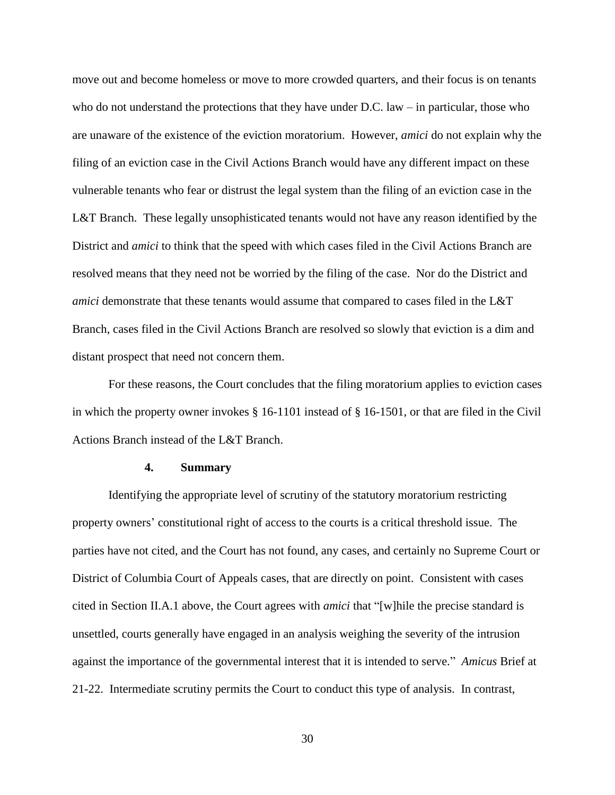move out and become homeless or move to more crowded quarters, and their focus is on tenants who do not understand the protections that they have under D.C. law – in particular, those who are unaware of the existence of the eviction moratorium. However, *amici* do not explain why the filing of an eviction case in the Civil Actions Branch would have any different impact on these vulnerable tenants who fear or distrust the legal system than the filing of an eviction case in the L&T Branch. These legally unsophisticated tenants would not have any reason identified by the District and *amici* to think that the speed with which cases filed in the Civil Actions Branch are resolved means that they need not be worried by the filing of the case. Nor do the District and *amici* demonstrate that these tenants would assume that compared to cases filed in the L&T Branch, cases filed in the Civil Actions Branch are resolved so slowly that eviction is a dim and distant prospect that need not concern them.

For these reasons, the Court concludes that the filing moratorium applies to eviction cases in which the property owner invokes § 16-1101 instead of § 16-1501, or that are filed in the Civil Actions Branch instead of the L&T Branch.

### **4. Summary**

Identifying the appropriate level of scrutiny of the statutory moratorium restricting property owners' constitutional right of access to the courts is a critical threshold issue. The parties have not cited, and the Court has not found, any cases, and certainly no Supreme Court or District of Columbia Court of Appeals cases, that are directly on point. Consistent with cases cited in Section II.A.1 above, the Court agrees with *amici* that "[w]hile the precise standard is unsettled, courts generally have engaged in an analysis weighing the severity of the intrusion against the importance of the governmental interest that it is intended to serve." *Amicus* Brief at 21-22. Intermediate scrutiny permits the Court to conduct this type of analysis. In contrast,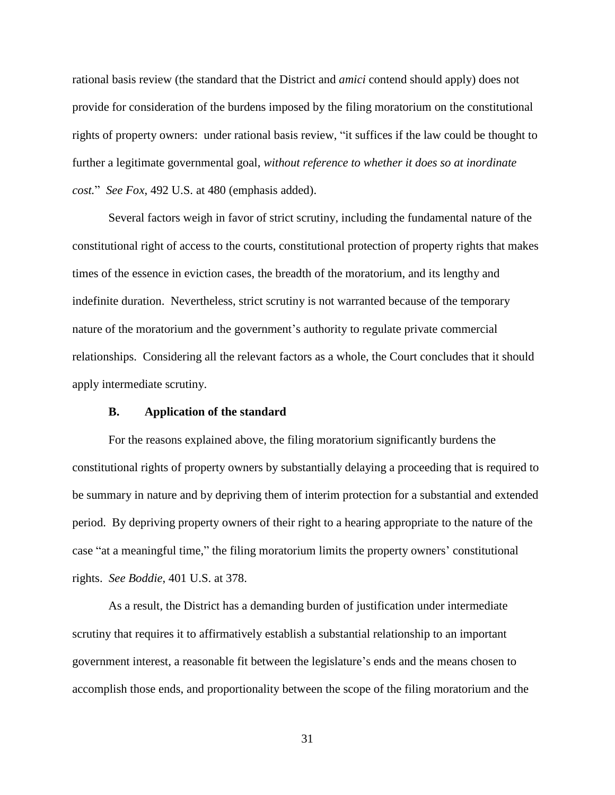rational basis review (the standard that the District and *amici* contend should apply) does not provide for consideration of the burdens imposed by the filing moratorium on the constitutional rights of property owners: under rational basis review, "it suffices if the law could be thought to further a legitimate governmental goal, *without reference to whether it does so at inordinate cost.*" *See Fox*, 492 U.S. at 480 (emphasis added).

Several factors weigh in favor of strict scrutiny, including the fundamental nature of the constitutional right of access to the courts, constitutional protection of property rights that makes times of the essence in eviction cases, the breadth of the moratorium, and its lengthy and indefinite duration. Nevertheless, strict scrutiny is not warranted because of the temporary nature of the moratorium and the government's authority to regulate private commercial relationships. Considering all the relevant factors as a whole, the Court concludes that it should apply intermediate scrutiny.

#### **B. Application of the standard**

For the reasons explained above, the filing moratorium significantly burdens the constitutional rights of property owners by substantially delaying a proceeding that is required to be summary in nature and by depriving them of interim protection for a substantial and extended period. By depriving property owners of their right to a hearing appropriate to the nature of the case "at a meaningful time," the filing moratorium limits the property owners' constitutional rights. *See Boddie*, 401 U.S. at 378.

As a result, the District has a demanding burden of justification under intermediate scrutiny that requires it to affirmatively establish a substantial relationship to an important government interest, a reasonable fit between the legislature's ends and the means chosen to accomplish those ends, and proportionality between the scope of the filing moratorium and the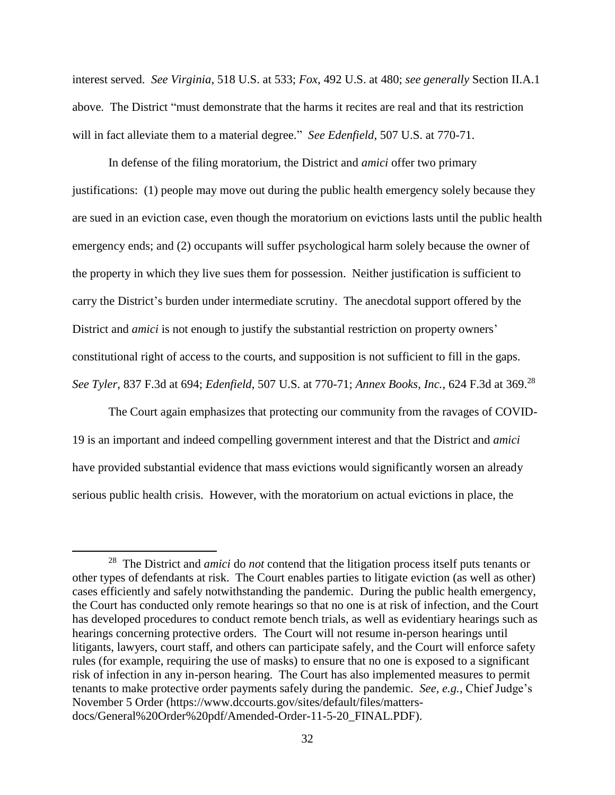interest served. *See Virginia*, 518 U.S. at 533; *Fox*, 492 U.S. at 480; *see generally* Section II.A.1 above. The District "must demonstrate that the harms it recites are real and that its restriction will in fact alleviate them to a material degree." *See Edenfield*, 507 U.S. at 770-71.

In defense of the filing moratorium, the District and *amici* offer two primary justifications: (1) people may move out during the public health emergency solely because they are sued in an eviction case, even though the moratorium on evictions lasts until the public health emergency ends; and (2) occupants will suffer psychological harm solely because the owner of the property in which they live sues them for possession. Neither justification is sufficient to carry the District's burden under intermediate scrutiny. The anecdotal support offered by the District and *amici* is not enough to justify the substantial restriction on property owners' constitutional right of access to the courts, and supposition is not sufficient to fill in the gaps. *See Tyler*, 837 F.3d at 694; *Edenfield*, 507 U.S. at 770-71; *Annex Books, Inc.*, 624 F.3d at 369. 28

The Court again emphasizes that protecting our community from the ravages of COVID-19 is an important and indeed compelling government interest and that the District and *amici* have provided substantial evidence that mass evictions would significantly worsen an already serious public health crisis. However, with the moratorium on actual evictions in place, the

 $\overline{\phantom{a}}$ 

<sup>28</sup> The District and *amici* do *not* contend that the litigation process itself puts tenants or other types of defendants at risk. The Court enables parties to litigate eviction (as well as other) cases efficiently and safely notwithstanding the pandemic. During the public health emergency, the Court has conducted only remote hearings so that no one is at risk of infection, and the Court has developed procedures to conduct remote bench trials, as well as evidentiary hearings such as hearings concerning protective orders. The Court will not resume in-person hearings until litigants, lawyers, court staff, and others can participate safely, and the Court will enforce safety rules (for example, requiring the use of masks) to ensure that no one is exposed to a significant risk of infection in any in-person hearing. The Court has also implemented measures to permit tenants to make protective order payments safely during the pandemic. *See, e.g.*, Chief Judge's November 5 Order (https://www.dccourts.gov/sites/default/files/mattersdocs/General%20Order%20pdf/Amended-Order-11-5-20\_FINAL.PDF).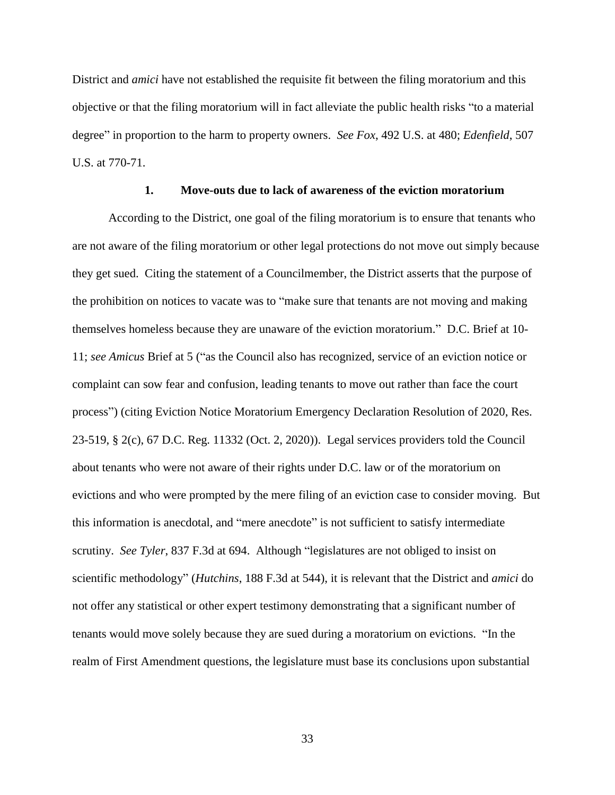District and *amici* have not established the requisite fit between the filing moratorium and this objective or that the filing moratorium will in fact alleviate the public health risks "to a material degree" in proportion to the harm to property owners. *See Fox*, 492 U.S. at 480; *Edenfield*, 507 U.S. at 770-71.

#### **1. Move-outs due to lack of awareness of the eviction moratorium**

According to the District, one goal of the filing moratorium is to ensure that tenants who are not aware of the filing moratorium or other legal protections do not move out simply because they get sued. Citing the statement of a Councilmember, the District asserts that the purpose of the prohibition on notices to vacate was to "make sure that tenants are not moving and making themselves homeless because they are unaware of the eviction moratorium." D.C. Brief at 10- 11; *see Amicus* Brief at 5 ("as the Council also has recognized, service of an eviction notice or complaint can sow fear and confusion, leading tenants to move out rather than face the court process") (citing Eviction Notice Moratorium Emergency Declaration Resolution of 2020, Res. 23-519, § 2(c), 67 D.C. Reg. 11332 (Oct. 2, 2020)). Legal services providers told the Council about tenants who were not aware of their rights under D.C. law or of the moratorium on evictions and who were prompted by the mere filing of an eviction case to consider moving. But this information is anecdotal, and "mere anecdote" is not sufficient to satisfy intermediate scrutiny. *See Tyler*, 837 F.3d at 694. Although "legislatures are not obliged to insist on scientific methodology" (*Hutchins*, 188 F.3d at 544), it is relevant that the District and *amici* do not offer any statistical or other expert testimony demonstrating that a significant number of tenants would move solely because they are sued during a moratorium on evictions. "In the realm of First Amendment questions, the legislature must base its conclusions upon substantial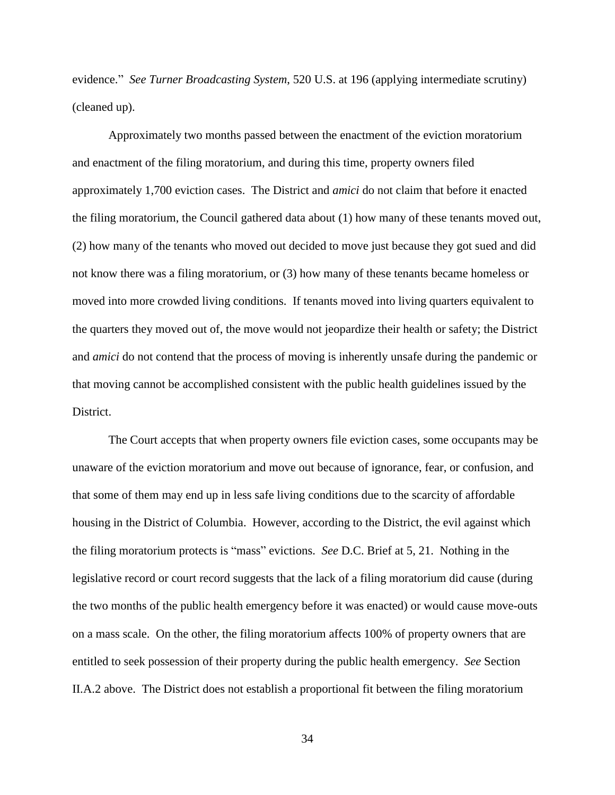evidence." *See Turner Broadcasting System*, 520 U.S. at 196 (applying intermediate scrutiny) (cleaned up).

Approximately two months passed between the enactment of the eviction moratorium and enactment of the filing moratorium, and during this time, property owners filed approximately 1,700 eviction cases. The District and *amici* do not claim that before it enacted the filing moratorium, the Council gathered data about (1) how many of these tenants moved out, (2) how many of the tenants who moved out decided to move just because they got sued and did not know there was a filing moratorium, or (3) how many of these tenants became homeless or moved into more crowded living conditions. If tenants moved into living quarters equivalent to the quarters they moved out of, the move would not jeopardize their health or safety; the District and *amici* do not contend that the process of moving is inherently unsafe during the pandemic or that moving cannot be accomplished consistent with the public health guidelines issued by the District.

The Court accepts that when property owners file eviction cases, some occupants may be unaware of the eviction moratorium and move out because of ignorance, fear, or confusion, and that some of them may end up in less safe living conditions due to the scarcity of affordable housing in the District of Columbia. However, according to the District, the evil against which the filing moratorium protects is "mass" evictions. *See* D.C. Brief at 5, 21. Nothing in the legislative record or court record suggests that the lack of a filing moratorium did cause (during the two months of the public health emergency before it was enacted) or would cause move-outs on a mass scale. On the other, the filing moratorium affects 100% of property owners that are entitled to seek possession of their property during the public health emergency. *See* Section II.A.2 above. The District does not establish a proportional fit between the filing moratorium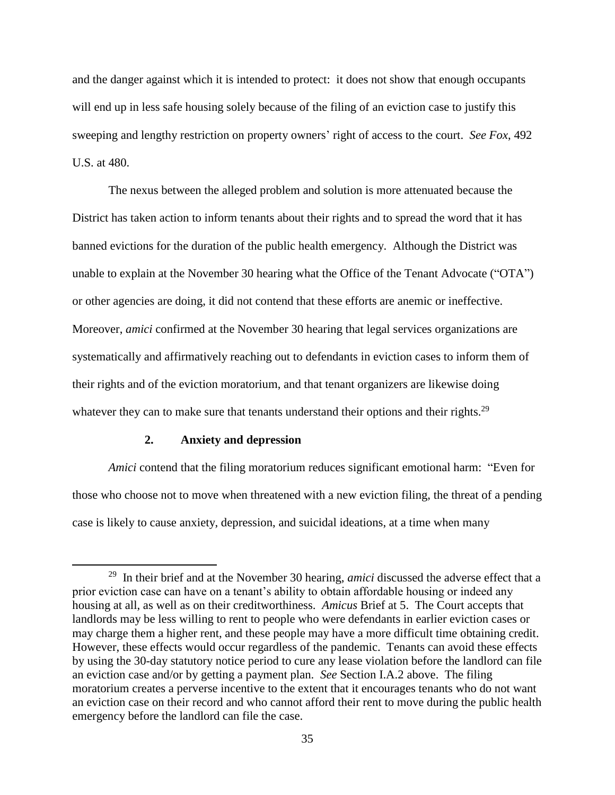and the danger against which it is intended to protect: it does not show that enough occupants will end up in less safe housing solely because of the filing of an eviction case to justify this sweeping and lengthy restriction on property owners' right of access to the court. *See Fox*, 492 U.S. at 480.

The nexus between the alleged problem and solution is more attenuated because the District has taken action to inform tenants about their rights and to spread the word that it has banned evictions for the duration of the public health emergency. Although the District was unable to explain at the November 30 hearing what the Office of the Tenant Advocate ("OTA") or other agencies are doing, it did not contend that these efforts are anemic or ineffective. Moreover, *amici* confirmed at the November 30 hearing that legal services organizations are systematically and affirmatively reaching out to defendants in eviction cases to inform them of their rights and of the eviction moratorium, and that tenant organizers are likewise doing whatever they can to make sure that tenants understand their options and their rights.<sup>29</sup>

## **2. Anxiety and depression**

 $\overline{\phantom{a}}$ 

*Amici* contend that the filing moratorium reduces significant emotional harm: "Even for those who choose not to move when threatened with a new eviction filing, the threat of a pending case is likely to cause anxiety, depression, and suicidal ideations, at a time when many

<sup>29</sup> In their brief and at the November 30 hearing, *amici* discussed the adverse effect that a prior eviction case can have on a tenant's ability to obtain affordable housing or indeed any housing at all, as well as on their creditworthiness. *Amicus* Brief at 5. The Court accepts that landlords may be less willing to rent to people who were defendants in earlier eviction cases or may charge them a higher rent, and these people may have a more difficult time obtaining credit. However, these effects would occur regardless of the pandemic. Tenants can avoid these effects by using the 30-day statutory notice period to cure any lease violation before the landlord can file an eviction case and/or by getting a payment plan. *See* Section I.A.2 above. The filing moratorium creates a perverse incentive to the extent that it encourages tenants who do not want an eviction case on their record and who cannot afford their rent to move during the public health emergency before the landlord can file the case.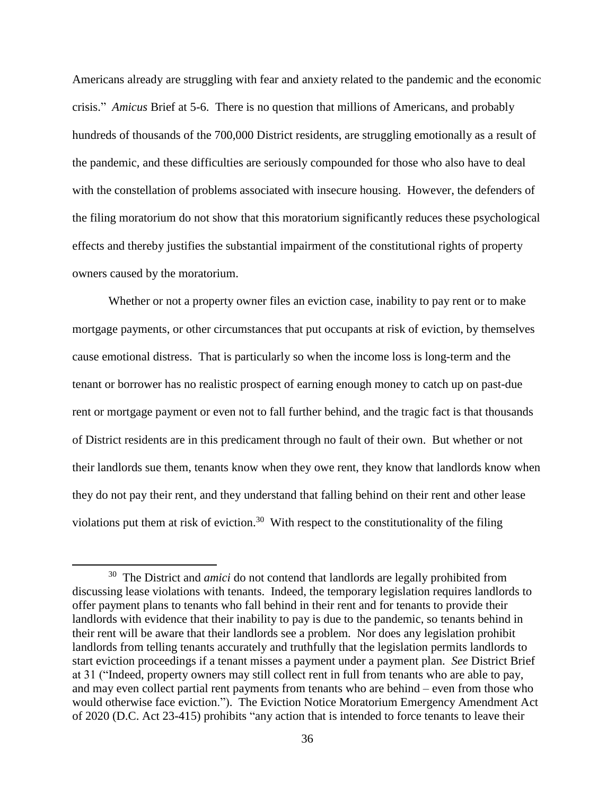Americans already are struggling with fear and anxiety related to the pandemic and the economic crisis." *Amicus* Brief at 5-6. There is no question that millions of Americans, and probably hundreds of thousands of the 700,000 District residents, are struggling emotionally as a result of the pandemic, and these difficulties are seriously compounded for those who also have to deal with the constellation of problems associated with insecure housing. However, the defenders of the filing moratorium do not show that this moratorium significantly reduces these psychological effects and thereby justifies the substantial impairment of the constitutional rights of property owners caused by the moratorium.

Whether or not a property owner files an eviction case, inability to pay rent or to make mortgage payments, or other circumstances that put occupants at risk of eviction, by themselves cause emotional distress. That is particularly so when the income loss is long-term and the tenant or borrower has no realistic prospect of earning enough money to catch up on past-due rent or mortgage payment or even not to fall further behind, and the tragic fact is that thousands of District residents are in this predicament through no fault of their own. But whether or not their landlords sue them, tenants know when they owe rent, they know that landlords know when they do not pay their rent, and they understand that falling behind on their rent and other lease violations put them at risk of eviction.<sup>30</sup> With respect to the constitutionality of the filing

 $\overline{\phantom{a}}$ 

<sup>&</sup>lt;sup>30</sup> The District and *amici* do not contend that landlords are legally prohibited from discussing lease violations with tenants. Indeed, the temporary legislation requires landlords to offer payment plans to tenants who fall behind in their rent and for tenants to provide their landlords with evidence that their inability to pay is due to the pandemic, so tenants behind in their rent will be aware that their landlords see a problem. Nor does any legislation prohibit landlords from telling tenants accurately and truthfully that the legislation permits landlords to start eviction proceedings if a tenant misses a payment under a payment plan. *See* District Brief at 31 ("Indeed, property owners may still collect rent in full from tenants who are able to pay, and may even collect partial rent payments from tenants who are behind – even from those who would otherwise face eviction."). The Eviction Notice Moratorium Emergency Amendment Act of 2020 (D.C. Act 23-415) prohibits "any action that is intended to force tenants to leave their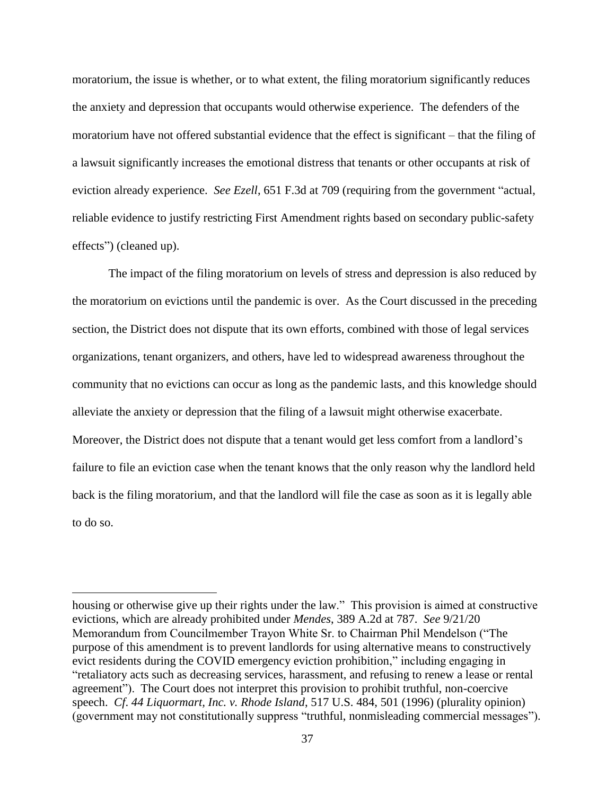moratorium, the issue is whether, or to what extent, the filing moratorium significantly reduces the anxiety and depression that occupants would otherwise experience. The defenders of the moratorium have not offered substantial evidence that the effect is significant – that the filing of a lawsuit significantly increases the emotional distress that tenants or other occupants at risk of eviction already experience. *See Ezell*, 651 F.3d at 709 (requiring from the government "actual, reliable evidence to justify restricting First Amendment rights based on secondary public-safety effects") (cleaned up).

The impact of the filing moratorium on levels of stress and depression is also reduced by the moratorium on evictions until the pandemic is over. As the Court discussed in the preceding section, the District does not dispute that its own efforts, combined with those of legal services organizations, tenant organizers, and others, have led to widespread awareness throughout the community that no evictions can occur as long as the pandemic lasts, and this knowledge should alleviate the anxiety or depression that the filing of a lawsuit might otherwise exacerbate. Moreover, the District does not dispute that a tenant would get less comfort from a landlord's failure to file an eviction case when the tenant knows that the only reason why the landlord held back is the filing moratorium, and that the landlord will file the case as soon as it is legally able to do so.

l

housing or otherwise give up their rights under the law." This provision is aimed at constructive evictions, which are already prohibited under *Mendes*, 389 A.2d at 787. *See* 9/21/20 Memorandum from Councilmember Trayon White Sr. to Chairman Phil Mendelson ("The purpose of this amendment is to prevent landlords for using alternative means to constructively evict residents during the COVID emergency eviction prohibition," including engaging in "retaliatory acts such as decreasing services, harassment, and refusing to renew a lease or rental agreement"). The Court does not interpret this provision to prohibit truthful, non-coercive speech. *Cf*. *44 Liquormart, Inc. v. Rhode Island*, 517 U.S. 484, 501 (1996) (plurality opinion) (government may not constitutionally suppress "truthful, nonmisleading commercial messages").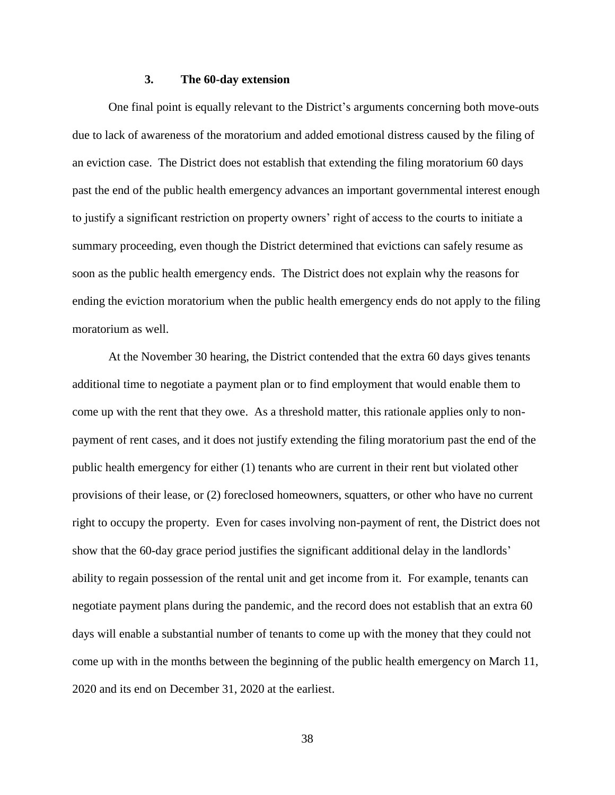#### **3. The 60-day extension**

One final point is equally relevant to the District's arguments concerning both move-outs due to lack of awareness of the moratorium and added emotional distress caused by the filing of an eviction case. The District does not establish that extending the filing moratorium 60 days past the end of the public health emergency advances an important governmental interest enough to justify a significant restriction on property owners' right of access to the courts to initiate a summary proceeding, even though the District determined that evictions can safely resume as soon as the public health emergency ends. The District does not explain why the reasons for ending the eviction moratorium when the public health emergency ends do not apply to the filing moratorium as well.

At the November 30 hearing, the District contended that the extra 60 days gives tenants additional time to negotiate a payment plan or to find employment that would enable them to come up with the rent that they owe. As a threshold matter, this rationale applies only to nonpayment of rent cases, and it does not justify extending the filing moratorium past the end of the public health emergency for either (1) tenants who are current in their rent but violated other provisions of their lease, or (2) foreclosed homeowners, squatters, or other who have no current right to occupy the property. Even for cases involving non-payment of rent, the District does not show that the 60-day grace period justifies the significant additional delay in the landlords' ability to regain possession of the rental unit and get income from it. For example, tenants can negotiate payment plans during the pandemic, and the record does not establish that an extra 60 days will enable a substantial number of tenants to come up with the money that they could not come up with in the months between the beginning of the public health emergency on March 11, 2020 and its end on December 31, 2020 at the earliest.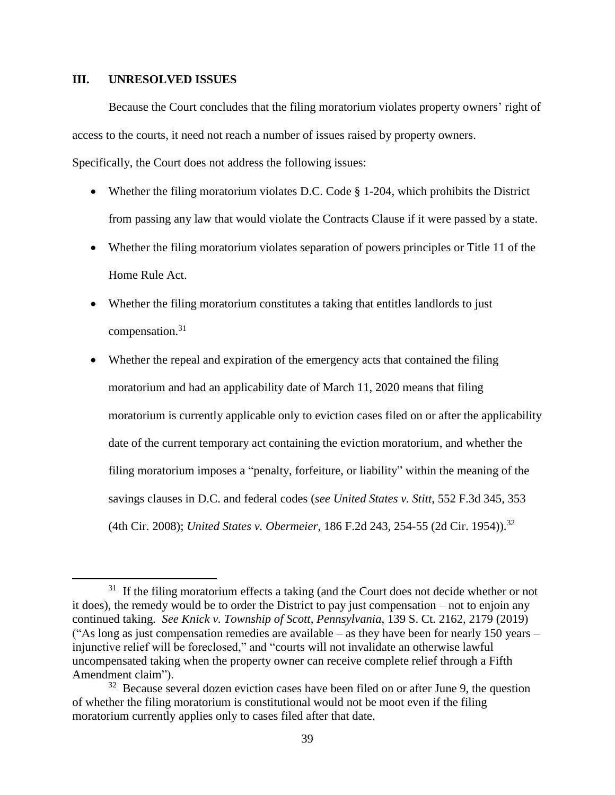# **III. UNRESOLVED ISSUES**

 $\overline{\phantom{a}}$ 

Because the Court concludes that the filing moratorium violates property owners' right of access to the courts, it need not reach a number of issues raised by property owners.

Specifically, the Court does not address the following issues:

- Whether the filing moratorium violates D.C. Code § 1-204, which prohibits the District from passing any law that would violate the Contracts Clause if it were passed by a state.
- Whether the filing moratorium violates separation of powers principles or Title 11 of the Home Rule Act.
- Whether the filing moratorium constitutes a taking that entitles landlords to just compensation. 31
- Whether the repeal and expiration of the emergency acts that contained the filing moratorium and had an applicability date of March 11, 2020 means that filing moratorium is currently applicable only to eviction cases filed on or after the applicability date of the current temporary act containing the eviction moratorium, and whether the filing moratorium imposes a "penalty, forfeiture, or liability" within the meaning of the savings clauses in D.C. and federal codes (*see United States v. Stitt*, 552 F.3d 345, 353 (4th Cir. 2008); *United States v. Obermeier*, 186 F.2d 243, 254-55 (2d Cir. 1954)). 32

<sup>&</sup>lt;sup>31</sup> If the filing moratorium effects a taking (and the Court does not decide whether or not it does), the remedy would be to order the District to pay just compensation – not to enjoin any continued taking. *See Knick v. Township of Scott, Pennsylvania*, 139 S. Ct. 2162, 2179 (2019) ("As long as just compensation remedies are available – as they have been for nearly 150 years – injunctive relief will be foreclosed," and "courts will not invalidate an otherwise lawful uncompensated taking when the property owner can receive complete relief through a Fifth Amendment claim").

 $32$  Because several dozen eviction cases have been filed on or after June 9, the question of whether the filing moratorium is constitutional would not be moot even if the filing moratorium currently applies only to cases filed after that date.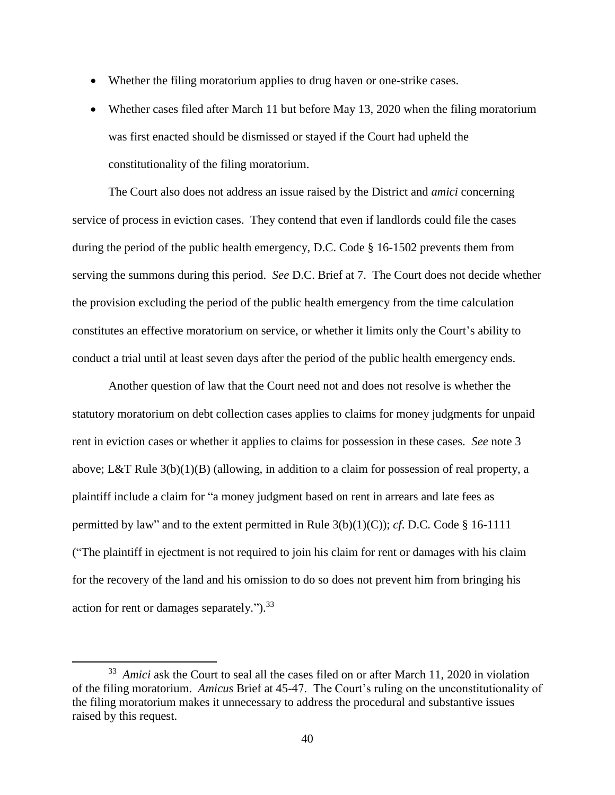- Whether the filing moratorium applies to drug haven or one-strike cases.
- Whether cases filed after March 11 but before May 13, 2020 when the filing moratorium was first enacted should be dismissed or stayed if the Court had upheld the constitutionality of the filing moratorium.

The Court also does not address an issue raised by the District and *amici* concerning service of process in eviction cases. They contend that even if landlords could file the cases during the period of the public health emergency, D.C. Code § 16-1502 prevents them from serving the summons during this period. *See* D.C. Brief at 7. The Court does not decide whether the provision excluding the period of the public health emergency from the time calculation constitutes an effective moratorium on service, or whether it limits only the Court's ability to conduct a trial until at least seven days after the period of the public health emergency ends.

Another question of law that the Court need not and does not resolve is whether the statutory moratorium on debt collection cases applies to claims for money judgments for unpaid rent in eviction cases or whether it applies to claims for possession in these cases. *See* note 3 above; L&T Rule 3(b)(1)(B) (allowing, in addition to a claim for possession of real property, a plaintiff include a claim for "a money judgment based on rent in arrears and late fees as permitted by law" and to the extent permitted in Rule 3(b)(1)(C)); *cf*. D.C. Code § 16-1111 ("The plaintiff in ejectment is not required to join his claim for rent or damages with his claim for the recovery of the land and his omission to do so does not prevent him from bringing his action for rent or damages separately.").<sup>33</sup>

l

<sup>&</sup>lt;sup>33</sup> Amici ask the Court to seal all the cases filed on or after March 11, 2020 in violation of the filing moratorium. *Amicus* Brief at 45-47. The Court's ruling on the unconstitutionality of the filing moratorium makes it unnecessary to address the procedural and substantive issues raised by this request.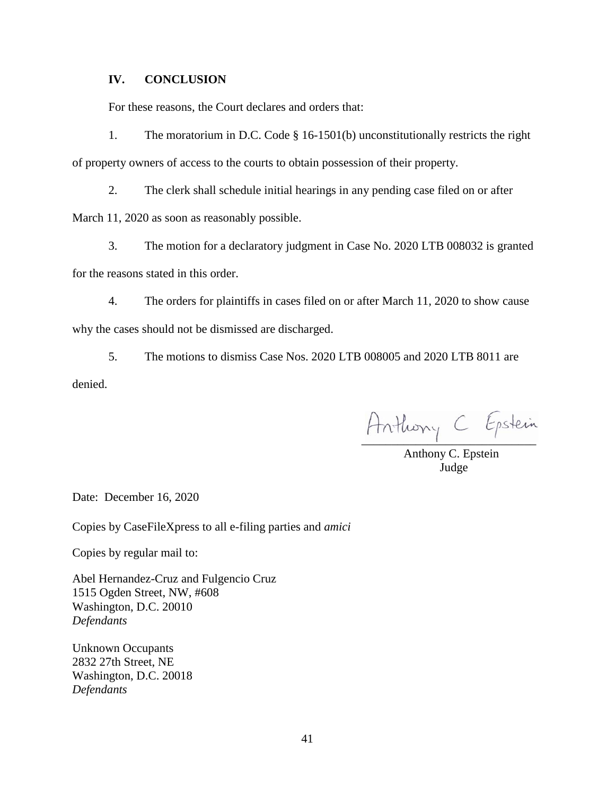# **IV. CONCLUSION**

For these reasons, the Court declares and orders that:

1. The moratorium in D.C. Code § 16-1501(b) unconstitutionally restricts the right of property owners of access to the courts to obtain possession of their property.

2. The clerk shall schedule initial hearings in any pending case filed on or after

March 11, 2020 as soon as reasonably possible.

3. The motion for a declaratory judgment in Case No. 2020 LTB 008032 is granted for the reasons stated in this order.

4. The orders for plaintiffs in cases filed on or after March 11, 2020 to show cause why the cases should not be dismissed are discharged.

5. The motions to dismiss Case Nos. 2020 LTB 008005 and 2020 LTB 8011 are

denied.

Anthony C Epstein

 Anthony C. Epstein Judge

Date: December 16, 2020

Copies by CaseFileXpress to all e-filing parties and *amici*

Copies by regular mail to:

Abel Hernandez-Cruz and Fulgencio Cruz 1515 Ogden Street, NW, #608 Washington, D.C. 20010 *Defendants*

Unknown Occupants 2832 27th Street, NE Washington, D.C. 20018 *Defendants*